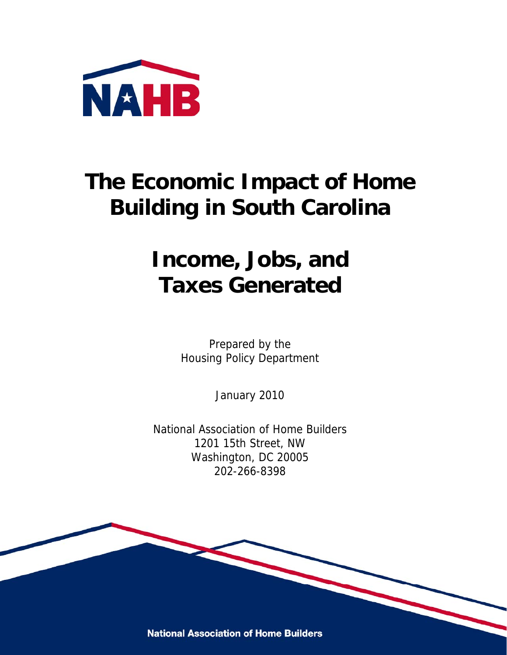

# **The Economic Impact of Home Building in South Carolina**

### **Income, Jobs, and Taxes Generated**

Prepared by the Housing Policy Department

January 2010

National Association of Home Builders 1201 15th Street, NW Washington, DC 20005 202-266-8398

**National Association of Home Builders**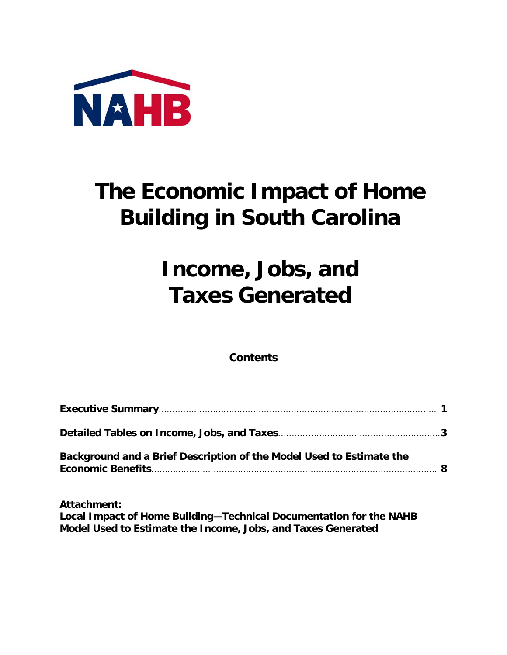

# **The Economic Impact of Home Building in South Carolina**

### **Income, Jobs, and Taxes Generated**

**Contents** 

| Background and a Brief Description of the Model Used to Estimate the |  |
|----------------------------------------------------------------------|--|

**Attachment: Local Impact of Home Building—Technical Documentation for the NAHB Model Used to Estimate the Income, Jobs, and Taxes Generated**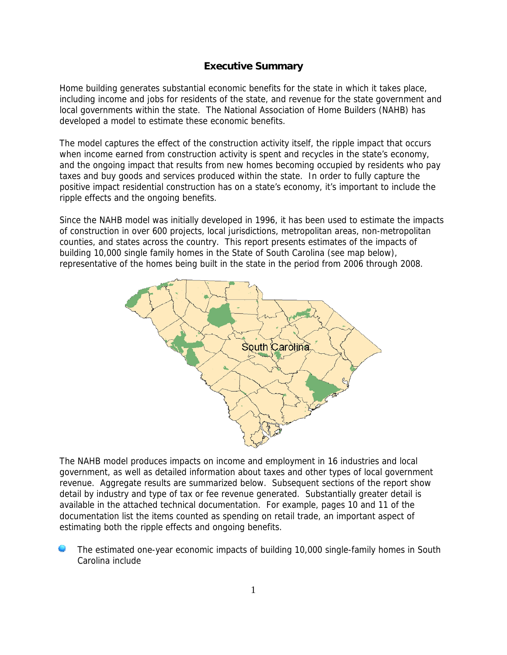#### **Executive Summary**

Home building generates substantial economic benefits for the state in which it takes place, including income and jobs for residents of the state, and revenue for the state government and local governments within the state. The National Association of Home Builders (NAHB) has developed a model to estimate these economic benefits.

The model captures the effect of the construction activity itself, the ripple impact that occurs when income earned from construction activity is spent and recycles in the state's economy, and the ongoing impact that results from new homes becoming occupied by residents who pay taxes and buy goods and services produced within the state. In order to fully capture the positive impact residential construction has on a state's economy, it's important to include the ripple effects and the ongoing benefits.

Since the NAHB model was initially developed in 1996, it has been used to estimate the impacts of construction in over 600 projects, local jurisdictions, metropolitan areas, non-metropolitan counties, and states across the country. This report presents estimates of the impacts of building 10,000 single family homes in the State of South Carolina (see map below), representative of the homes being built in the state in the period from 2006 through 2008.



The NAHB model produces impacts on income and employment in 16 industries and local government, as well as detailed information about taxes and other types of local government revenue. Aggregate results are summarized below. Subsequent sections of the report show detail by industry and type of tax or fee revenue generated. Substantially greater detail is available in the attached technical documentation. For example, pages 10 and 11 of the documentation list the items counted as spending on retail trade, an important aspect of estimating both the ripple effects and ongoing benefits.

The estimated one-year economic impacts of building 10,000 single-family homes in South Carolina include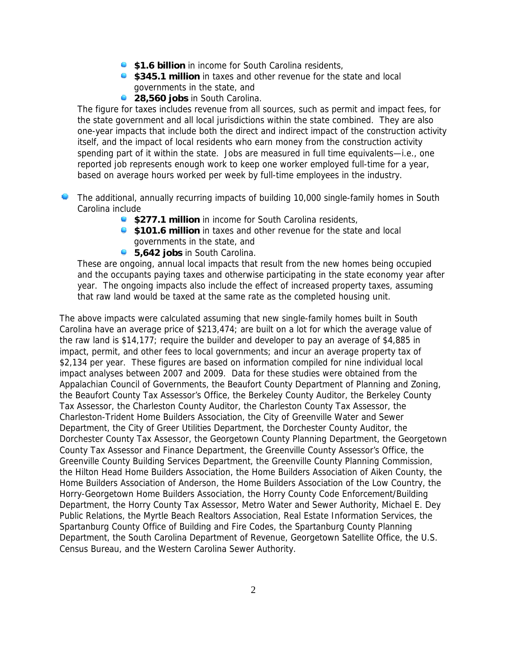- **\$1.6 billion** in income for South Carolina residents,
- **\$345.1 million** in taxes and other revenue for the state and local governments in the state, and
- **28,560 jobs** in South Carolina.

The figure for taxes includes revenue from all sources, such as permit and impact fees, for the state government and all local jurisdictions within the state combined. They are also one-year impacts that include both the direct and indirect impact of the construction activity itself, and the impact of local residents who earn money from the construction activity spending part of it within the state. Jobs are measured in full time equivalents—i.e., one reported job represents enough work to keep one worker employed full-time for a year, based on average hours worked per week by full-time employees in the industry.

- The additional, annually recurring impacts of building 10,000 single-family homes in South Carolina include
	- **\$277.1 million** in income for South Carolina residents,
	- **\$101.6 million** in taxes and other revenue for the state and local governments in the state, and
	- **5,642 jobs** in South Carolina.

These are ongoing, annual local impacts that result from the new homes being occupied and the occupants paying taxes and otherwise participating in the state economy year after year. The ongoing impacts also include the effect of increased property taxes, assuming that raw land would be taxed at the same rate as the completed housing unit.

The above impacts were calculated assuming that new single-family homes built in South Carolina have an average price of \$213,474; are built on a lot for which the average value of the raw land is \$14,177; require the builder and developer to pay an average of \$4,885 in impact, permit, and other fees to local governments; and incur an average property tax of \$2,134 per year. These figures are based on information compiled for nine individual local impact analyses between 2007 and 2009. Data for these studies were obtained from the Appalachian Council of Governments, the Beaufort County Department of Planning and Zoning, the Beaufort County Tax Assessor's Office, the Berkeley County Auditor, the Berkeley County Tax Assessor, the Charleston County Auditor, the Charleston County Tax Assessor, the Charleston-Trident Home Builders Association, the City of Greenville Water and Sewer Department, the City of Greer Utilities Department, the Dorchester County Auditor, the Dorchester County Tax Assessor, the Georgetown County Planning Department, the Georgetown County Tax Assessor and Finance Department, the Greenville County Assessor's Office, the Greenville County Building Services Department, the Greenville County Planning Commission, the Hilton Head Home Builders Association, the Home Builders Association of Aiken County, the Home Builders Association of Anderson, the Home Builders Association of the Low Country, the Horry-Georgetown Home Builders Association, the Horry County Code Enforcement/Building Department, the Horry County Tax Assessor, Metro Water and Sewer Authority, Michael E. Dey Public Relations, the Myrtle Beach Realtors Association, Real Estate Information Services, the Spartanburg County Office of Building and Fire Codes, the Spartanburg County Planning Department, the South Carolina Department of Revenue, Georgetown Satellite Office, the U.S. Census Bureau, and the Western Carolina Sewer Authority.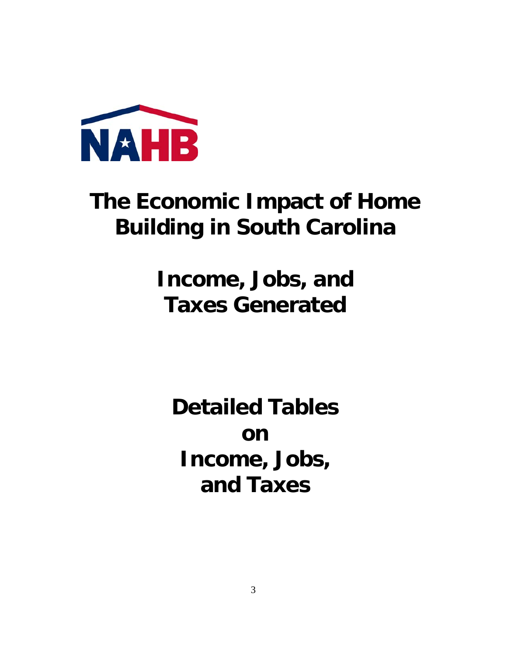

## **The Economic Impact of Home Building in South Carolina**

**Income, Jobs, and Taxes Generated** 

**Detailed Tables on Income, Jobs, and Taxes**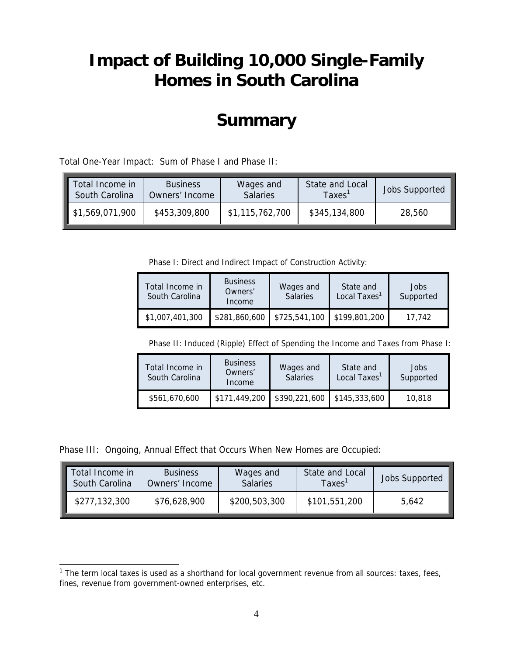### **Impact of Building 10,000 Single-Family Homes in South Carolina**

### **Summary**

Total One-Year Impact: Sum of Phase I and Phase II:

| Total Income in | <b>Business</b> |                 | State and Local | <b>Jobs Supported</b> |  |
|-----------------|-----------------|-----------------|-----------------|-----------------------|--|
| South Carolina  | Owners' Income  |                 | $\tau$ axes     |                       |  |
| \$1,569,071,900 | \$453,309,800   | \$1,115,762,700 | \$345,134,800   | 28,560                |  |

Phase I: Direct and Indirect Impact of Construction Activity:

| Total Income in<br>South Carolina | <b>Business</b><br>Owners'<br>Income | Wages and<br><b>Salaries</b> | State and<br>Local Taxes <sup>1</sup> | Jobs<br>Supported |
|-----------------------------------|--------------------------------------|------------------------------|---------------------------------------|-------------------|
| \$1,007,401,300                   | \$281,860,600                        | \$725,541,100                | \$199,801,200                         | 17.742            |

Phase II: Induced (Ripple) Effect of Spending the Income and Taxes from Phase I:

| Total Income in<br>South Carolina | <b>Business</b><br>Owners'<br>Income | Wages and<br><b>Salaries</b> | State and<br>Local Taxes <sup>1</sup> | Jobs<br>Supported |
|-----------------------------------|--------------------------------------|------------------------------|---------------------------------------|-------------------|
| \$561,670,600                     | \$171,449,200                        | \$390,221,600                | \$145,333,600                         | 10.818            |

Phase III: Ongoing, Annual Effect that Occurs When New Homes are Occupied:

 $\overline{a}$ 

| Total Income in | <b>Business</b> | Wages and       | State and Local | <b>Jobs Supported</b> |
|-----------------|-----------------|-----------------|-----------------|-----------------------|
| South Carolina  | Owners' Income  | <b>Salaries</b> | <b>Taxes</b>    |                       |
| \$277,132,300   | \$76,628,900    | \$200,503,300   | \$101,551,200   | 5,642                 |

<sup>&</sup>lt;sup>1</sup> The term local taxes is used as a shorthand for local government revenue from all sources: taxes, fees, fines, revenue from government-owned enterprises, etc.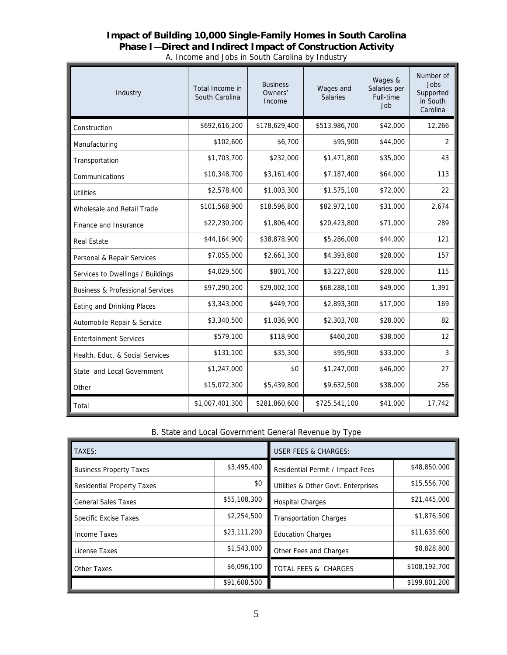#### **Impact of Building 10,000 Single-Family Homes in South Carolina Phase I—Direct and Indirect Impact of Construction Activity**  A. Income and Jobs in South Carolina by Industry

| Industry                                    | Total Income in<br>South Carolina | <b>Business</b><br>Owners'<br>Income | Wages and<br><b>Salaries</b> | Wages &<br>Salaries per<br>Full-time<br>Job | Number of<br>Jobs<br>Supported<br>in South<br>Carolina |
|---------------------------------------------|-----------------------------------|--------------------------------------|------------------------------|---------------------------------------------|--------------------------------------------------------|
| Construction                                | \$692,616,200                     | \$178,629,400                        | \$513,986,700                | \$42,000                                    | 12,266                                                 |
| Manufacturing                               | \$102,600                         | \$6,700                              | \$95,900                     | \$44,000                                    | $\overline{2}$                                         |
| Transportation                              | \$1,703,700                       | \$232,000                            | \$1,471,800                  | \$35,000                                    | 43                                                     |
| Communications                              | \$10,348,700                      | \$3,161,400                          | \$7,187,400                  | \$64,000                                    | 113                                                    |
| <b>Utilities</b>                            | \$2,578,400                       | \$1,003,300                          | \$1,575,100                  | \$72,000                                    | 22                                                     |
| Wholesale and Retail Trade                  | \$101,568,900                     | \$18,596,800                         | \$82,972,100                 | \$31,000                                    | 2,674                                                  |
| Finance and Insurance                       | \$22,230,200                      | \$1,806,400                          | \$20,423,800                 | \$71,000                                    | 289                                                    |
| <b>Real Estate</b>                          | \$44,164,900                      | \$38,878,900                         | \$5,286,000                  | \$44,000                                    | 121                                                    |
| Personal & Repair Services                  | \$7,055,000                       | \$2,661,300                          | \$4,393,800                  | \$28,000                                    | 157                                                    |
| Services to Dwellings / Buildings           | \$4,029,500                       | \$801,700                            | \$3,227,800                  | \$28,000                                    | 115                                                    |
| <b>Business &amp; Professional Services</b> | \$97,290,200                      | \$29,002,100                         | \$68,288,100                 | \$49,000                                    | 1,391                                                  |
| Eating and Drinking Places                  | \$3,343,000                       | \$449,700                            | \$2,893,300                  | \$17,000                                    | 169                                                    |
| Automobile Repair & Service                 | \$3,340,500                       | \$1,036,900                          | \$2,303,700                  | \$28,000                                    | 82                                                     |
| <b>Entertainment Services</b>               | \$579,100                         | \$118,900                            | \$460,200                    | \$38,000                                    | 12                                                     |
| Health, Educ. & Social Services             | \$131,100                         | \$35,300                             | \$95,900                     | \$33,000                                    | 3                                                      |
| State and Local Government                  | \$1,247,000                       | \$0                                  | \$1,247,000                  | \$46,000                                    | 27                                                     |
| Other                                       | \$15,072,300                      | \$5,439,800                          | \$9,632,500                  | \$38,000                                    | 256                                                    |
| Total                                       | \$1,007,401,300                   | \$281,860,600                        | \$725,541,100                | \$41,000                                    | 17,742                                                 |

#### B. State and Local Government General Revenue by Type

| TAXES:                                        |              | <b>USER FEES &amp; CHARGES:</b>       |               |  |
|-----------------------------------------------|--------------|---------------------------------------|---------------|--|
| \$3,495,400<br><b>Business Property Taxes</b> |              | Residential Permit / Impact Fees      | \$48,850,000  |  |
| <b>Residential Property Taxes</b>             | \$0          | Utilities & Other Govt. Enterprises   | \$15,556,700  |  |
| <b>General Sales Taxes</b>                    | \$55,108,300 | <b>Hospital Charges</b>               | \$21,445,000  |  |
| \$2,254,500<br><b>Specific Excise Taxes</b>   |              | <b>Transportation Charges</b>         | \$1,876,500   |  |
| Income Taxes                                  | \$23,111,200 | <b>Education Charges</b>              | \$11,635,600  |  |
| License Taxes                                 | \$1,543,000  | \$8,828,800<br>Other Fees and Charges |               |  |
| \$6,096,100<br>Other Taxes                    |              | <b>TOTAL FEES &amp; CHARGES</b>       | \$108,192,700 |  |
|                                               | \$91,608,500 |                                       | \$199,801,200 |  |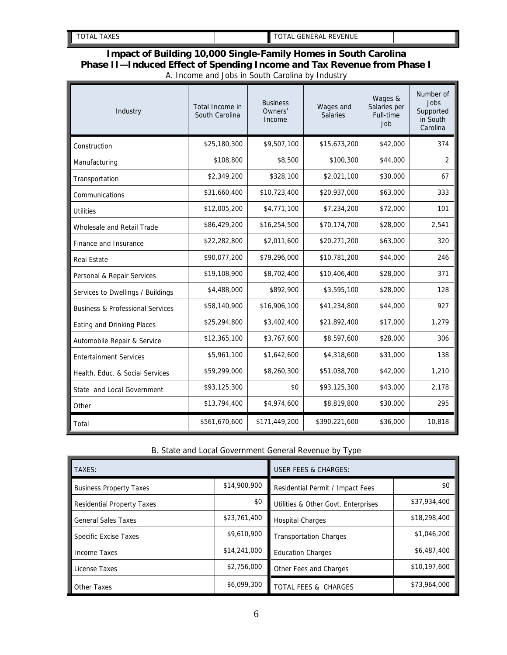| <b>TAXES</b><br>'AL<br>∼ | <b>REVENUE</b><br><b>`ENERAL</b><br>⊤A∟<br>lэг<br>` |  |
|--------------------------|-----------------------------------------------------|--|

#### **Impact of Building 10,000 Single-Family Homes in South Carolina Phase II—Induced Effect of Spending Income and Tax Revenue from Phase I**  A. Income and Jobs in South Carolina by Industry

| Industry                                    | Total Income in<br>South Carolina | <b>Business</b><br>Owners'<br>Income | Wages and<br><b>Salaries</b> | Wages &<br>Salaries per<br>Full-time<br>Job | Number of<br>Jobs<br>Supported<br>in South<br>Carolina |
|---------------------------------------------|-----------------------------------|--------------------------------------|------------------------------|---------------------------------------------|--------------------------------------------------------|
| Construction                                | \$25,180,300                      | \$9,507,100                          | \$15,673,200                 | \$42,000                                    | 374                                                    |
| Manufacturing                               | \$108,800                         | \$8,500                              | \$100,300                    | \$44,000                                    | 2                                                      |
| Transportation                              | \$2,349,200                       | \$328,100                            | \$2,021,100                  | \$30,000                                    | 67                                                     |
| Communications                              | \$31,660,400                      | \$10,723,400                         | \$20,937,000                 | \$63,000                                    | 333                                                    |
| <b>Utilities</b>                            | \$12,005,200                      | \$4,771,100                          | \$7,234,200                  | \$72,000                                    | 101                                                    |
| Wholesale and Retail Trade                  | \$86,429,200                      | \$16,254,500                         | \$70,174,700                 | \$28,000                                    | 2,541                                                  |
| Finance and Insurance                       | \$22,282,800                      | \$2,011,600                          | \$20,271,200                 | \$63,000                                    | 320                                                    |
| <b>Real Estate</b>                          | \$90,077,200                      | \$79,296,000                         | \$10,781,200                 | \$44,000                                    | 246                                                    |
| Personal & Repair Services                  | \$19,108,900                      | \$8,702,400                          | \$10,406,400                 | \$28,000                                    | 371                                                    |
| Services to Dwellings / Buildings           | \$4,488,000                       | \$892,900                            | \$3,595,100                  | \$28,000                                    | 128                                                    |
| <b>Business &amp; Professional Services</b> | \$58,140,900                      | \$16,906,100                         | \$41,234,800                 | \$44,000                                    | 927                                                    |
| Eating and Drinking Places                  | \$25,294,800                      | \$3,402,400                          | \$21,892,400                 | \$17,000                                    | 1,279                                                  |
| Automobile Repair & Service                 | \$12,365,100                      | \$3,767,600                          | \$8,597,600                  | \$28,000                                    | 306                                                    |
| <b>Entertainment Services</b>               | \$5,961,100                       | \$1,642,600                          | \$4,318,600                  | \$31,000                                    | 138                                                    |
| Health, Educ. & Social Services             | \$59,299,000                      | \$8,260,300                          | \$51,038,700                 | \$42,000                                    | 1,210                                                  |
| State and Local Government                  | \$93,125,300                      | \$0                                  | \$93,125,300                 | \$43,000                                    | 2,178                                                  |
| Other                                       | \$13,794,400                      | \$4,974,600                          | \$8,819,800                  | \$30,000                                    | 295                                                    |
| Total                                       | \$561,670,600                     | \$171,449,200                        | \$390,221,600                | \$36,000                                    | 10,818                                                 |

#### B. State and Local Government General Revenue by Type

| TAXES:                            |              | <b>USER FEES &amp; CHARGES:</b>     |              |  |
|-----------------------------------|--------------|-------------------------------------|--------------|--|
| <b>Business Property Taxes</b>    | \$14,900,900 | Residential Permit / Impact Fees    | \$0          |  |
| <b>Residential Property Taxes</b> | \$0          | Utilities & Other Govt. Enterprises | \$37,934,400 |  |
| <b>General Sales Taxes</b>        | \$23,761,400 | <b>Hospital Charges</b>             | \$18,298,400 |  |
| <b>Specific Excise Taxes</b>      | \$9,610,900  | <b>Transportation Charges</b>       | \$1,046,200  |  |
| Income Taxes                      | \$14,241,000 | <b>Education Charges</b>            | \$6,487,400  |  |
| License Taxes                     | \$2,756,000  | Other Fees and Charges              | \$10,197,600 |  |
| Other Taxes                       | \$6,099,300  | TOTAL FEES & CHARGES                | \$73,964,000 |  |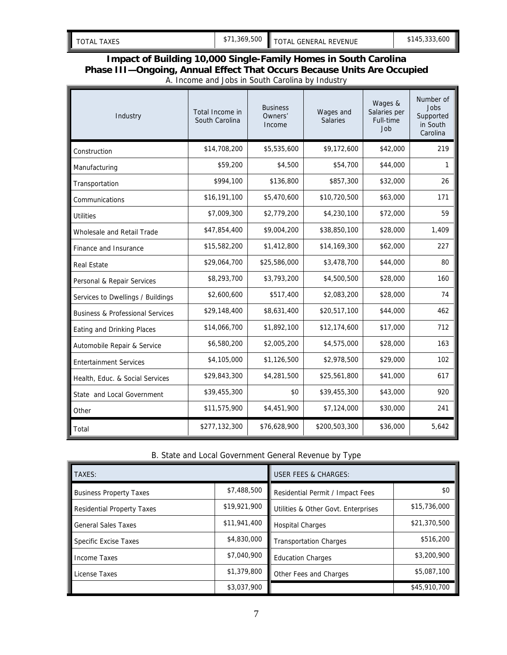| 1,369,500<br>.600<br>\$145,333,<br>TOTAL GENERAL REVENUE<br>TAXES<br><b>TOTAL</b><br>$\mathcal{D}$ |
|----------------------------------------------------------------------------------------------------|
|                                                                                                    |

#### **Impact of Building 10,000 Single-Family Homes in South Carolina Phase III—Ongoing, Annual Effect That Occurs Because Units Are Occupied**  A. Income and Jobs in South Carolina by Industry

| Industry                                    | Total Income in<br>South Carolina | <b>Business</b><br>Owners'<br>Income | Wages and<br><b>Salaries</b> | Wages &<br>Salaries per<br>Full-time<br>Job | Number of<br>Jobs<br>Supported<br>in South<br>Carolina |
|---------------------------------------------|-----------------------------------|--------------------------------------|------------------------------|---------------------------------------------|--------------------------------------------------------|
| Construction                                | \$14,708,200                      | \$5,535,600                          | \$9,172,600                  | \$42,000                                    | 219                                                    |
| Manufacturing                               | \$59,200                          | \$4,500                              | \$54,700                     | \$44,000                                    | 1                                                      |
| Transportation                              | \$994,100                         | \$136,800                            | \$857,300                    | \$32,000                                    | 26                                                     |
| Communications                              | \$16,191,100                      | \$5,470,600                          | \$10,720,500                 | \$63,000                                    | 171                                                    |
| <b>Utilities</b>                            | \$7,009,300                       | \$2,779,200                          | \$4,230,100                  | \$72,000                                    | 59                                                     |
| Wholesale and Retail Trade                  | \$47,854,400                      | \$9,004,200                          | \$38,850,100                 | \$28,000                                    | 1,409                                                  |
| Finance and Insurance                       | \$15,582,200                      | \$1,412,800                          | \$14,169,300                 | \$62,000                                    | 227                                                    |
| <b>Real Estate</b>                          | \$29,064,700                      | \$25,586,000                         | \$3,478,700                  | \$44,000                                    | 80                                                     |
| Personal & Repair Services                  | \$8,293,700                       | \$3,793,200                          | \$4,500,500                  | \$28,000                                    | 160                                                    |
| Services to Dwellings / Buildings           | \$2,600,600                       | \$517,400                            | \$2,083,200                  | \$28,000                                    | 74                                                     |
| <b>Business &amp; Professional Services</b> | \$29,148,400                      | \$8,631,400                          | \$20,517,100                 | \$44,000                                    | 462                                                    |
| Eating and Drinking Places                  | \$14,066,700                      | \$1,892,100                          | \$12,174,600                 | \$17,000                                    | 712                                                    |
| Automobile Repair & Service                 | \$6,580,200                       | \$2,005,200                          | \$4,575,000                  | \$28,000                                    | 163                                                    |
| <b>Entertainment Services</b>               | \$4,105,000                       | \$1,126,500                          | \$2,978,500                  | \$29,000                                    | 102                                                    |
| Health, Educ. & Social Services             | \$29,843,300                      | \$4,281,500                          | \$25,561,800                 | \$41,000                                    | 617                                                    |
| State and Local Government                  | \$39,455,300                      | \$0                                  | \$39,455,300                 | \$43,000                                    | 920                                                    |
| Other                                       | \$11,575,900                      | \$4,451,900                          | \$7,124,000                  | \$30,000                                    | 241                                                    |
| Total                                       | \$277,132,300                     | \$76,628,900                         | \$200,503,300                | \$36,000                                    | 5,642                                                  |

#### B. State and Local Government General Revenue by Type

| TAXES:                            |              | <b>USER FEES &amp; CHARGES:</b>     |              |
|-----------------------------------|--------------|-------------------------------------|--------------|
| <b>Business Property Taxes</b>    | \$7,488,500  | Residential Permit / Impact Fees    | \$0          |
| <b>Residential Property Taxes</b> | \$19,921,900 | Utilities & Other Govt. Enterprises | \$15,736,000 |
| <b>General Sales Taxes</b>        | \$11,941,400 | <b>Hospital Charges</b>             | \$21,370,500 |
| Specific Excise Taxes             | \$4,830,000  | <b>Transportation Charges</b>       | \$516,200    |
| Income Taxes                      | \$7,040,900  | <b>Education Charges</b>            | \$3,200,900  |
| License Taxes                     | \$1,379,800  | Other Fees and Charges              | \$5,087,100  |
|                                   | \$3,037,900  |                                     | \$45,910,700 |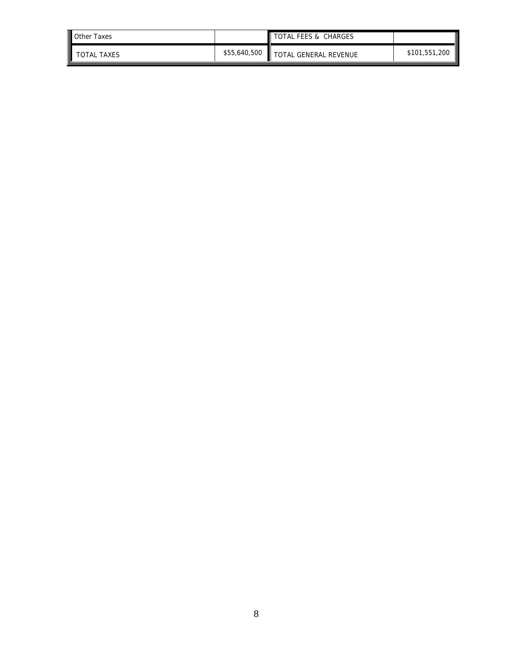| Other Taxes        |              | TOTAL FEES & CHARGES  |               |
|--------------------|--------------|-----------------------|---------------|
| <b>TOTAL TAXES</b> | \$55,640,500 | TOTAL GENERAL REVENUE | \$101,551,200 |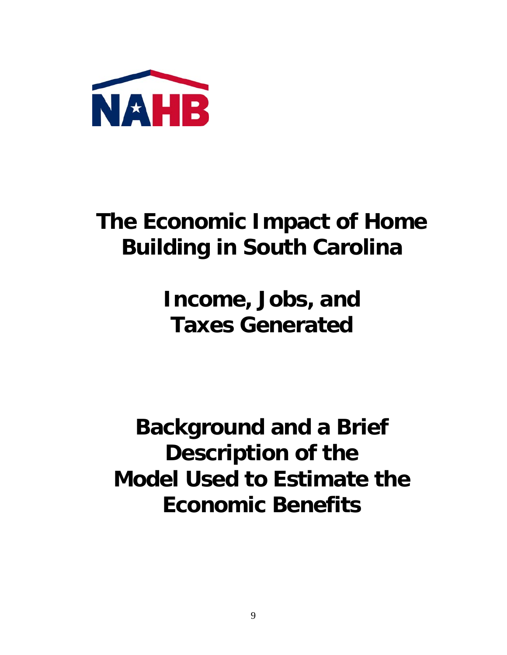

### **The Economic Impact of Home Building in South Carolina**

### **Income, Jobs, and Taxes Generated**

**Background and a Brief Description of the Model Used to Estimate the Economic Benefits**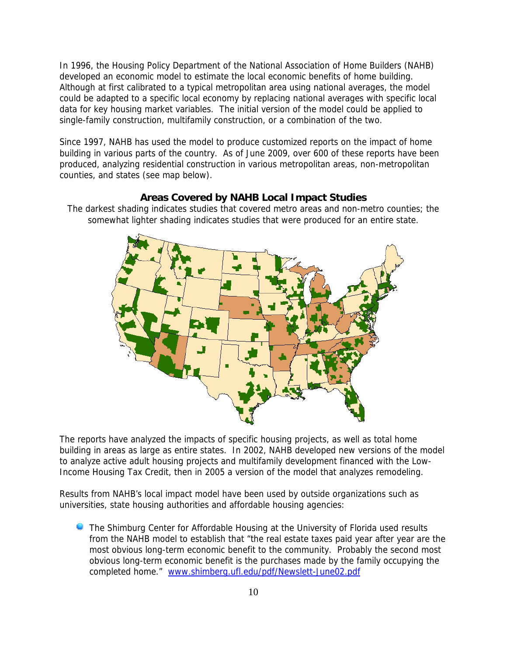In 1996, the Housing Policy Department of the National Association of Home Builders (NAHB) developed an economic model to estimate the local economic benefits of home building. Although at first calibrated to a typical metropolitan area using national averages, the model could be adapted to a specific local economy by replacing national averages with specific local data for key housing market variables. The initial version of the model could be applied to single-family construction, multifamily construction, or a combination of the two.

Since 1997, NAHB has used the model to produce customized reports on the impact of home building in various parts of the country. As of June 2009, over 600 of these reports have been produced, analyzing residential construction in various metropolitan areas, non-metropolitan counties, and states (see map below).

#### **Areas Covered by NAHB Local Impact Studies**

The darkest shading indicates studies that covered metro areas and non-metro counties; the somewhat lighter shading indicates studies that were produced for an entire state.



The reports have analyzed the impacts of specific housing projects, as well as total home building in areas as large as entire states. In 2002, NAHB developed new versions of the model to analyze active adult housing projects and multifamily development financed with the Low-Income Housing Tax Credit, then in 2005 a version of the model that analyzes remodeling.

Results from NAHB's local impact model have been used by outside organizations such as universities, state housing authorities and affordable housing agencies:

**C** The Shimburg Center for Affordable Housing at the University of Florida used results from the NAHB model to establish that "the real estate taxes paid year after year are the most obvious long-term economic benefit to the community. Probably the second most obvious long-term economic benefit is the purchases made by the family occupying the completed home." www.shimberg.ufl.edu/pdf/Newslett-June02.pdf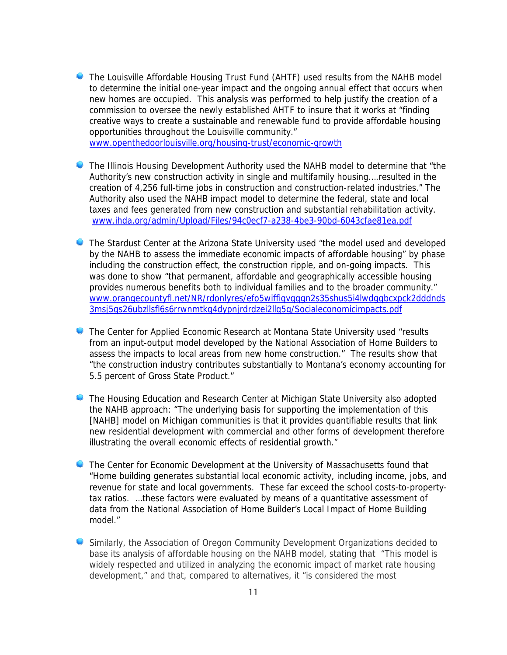- The Louisville Affordable Housing Trust Fund (AHTF) used results from the NAHB model to determine the initial one-year impact and the ongoing annual effect that occurs when new homes are occupied. This analysis was performed to help justify the creation of a commission to oversee the newly established AHTF to insure that it works at "finding creative ways to create a sustainable and renewable fund to provide affordable housing opportunities throughout the Louisville community." www.openthedoorlouisville.org/housing-trust/economic-growth
- The Illinois Housing Development Authority used the NAHB model to determine that "the Authority's new construction activity in single and multifamily housing….resulted in the creation of 4,256 full-time jobs in construction and construction-related industries." The Authority also used the NAHB impact model to determine the federal, state and local taxes and fees generated from new construction and substantial rehabilitation activity. www.ihda.org/admin/Upload/Files/94c0ecf7-a238-4be3-90bd-6043cfae81ea.pdf
- **C** The Stardust Center at the Arizona State University used "the model used and developed by the NAHB to assess the immediate economic impacts of affordable housing" by phase including the construction effect, the construction ripple, and on-going impacts. This was done to show "that permanent, affordable and geographically accessible housing provides numerous benefits both to individual families and to the broader community." www.orangecountyfl.net/NR/rdonlyres/efo5wiffiqvqqgn2s35shus5i4lwdgqbcxpck2dddnds 3msj5qs26ubzllsfl6s6rrwnmtkq4dypnjrdrdzei2llq5g/Socialeconomicimpacts.pdf
- **The Center for Applied Economic Research at Montana State University used "results"** from an input-output model developed by the National Association of Home Builders to assess the impacts to local areas from new home construction." The results show that "the construction industry contributes substantially to Montana's economy accounting for 5.5 percent of Gross State Product."
- **The Housing Education and Research Center at Michigan State University also adopted** the NAHB approach: "The underlying basis for supporting the implementation of this [NAHB] model on Michigan communities is that it provides quantifiable results that link new residential development with commercial and other forms of development therefore illustrating the overall economic effects of residential growth."
- **The Center for Economic Development at the University of Massachusetts found that** "Home building generates substantial local economic activity, including income, jobs, and revenue for state and local governments. These far exceed the school costs-to-propertytax ratios. …these factors were evaluated by means of a quantitative assessment of data from the National Association of Home Builder's Local Impact of Home Building model."
- Similarly, the Association of Oregon Community Development Organizations decided to base its analysis of affordable housing on the NAHB model, stating that "This model is widely respected and utilized in analyzing the economic impact of market rate housing development," and that, compared to alternatives, it "is considered the most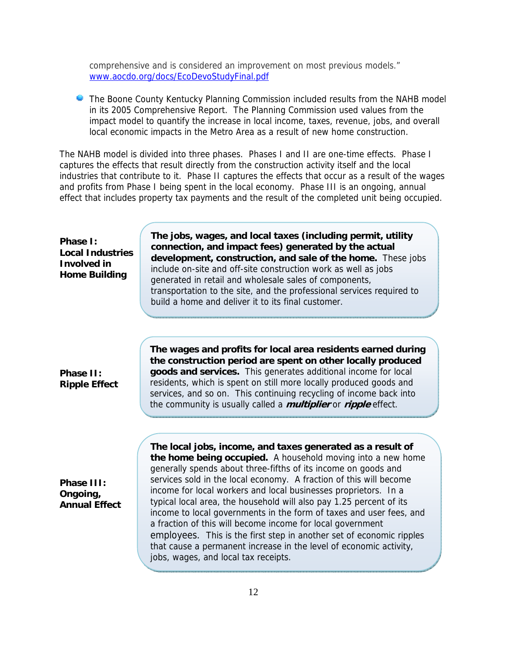comprehensive and is considered an improvement on most previous models." www.aocdo.org/docs/EcoDevoStudyFinal.pdf

The Boone County Kentucky Planning Commission included results from the NAHB model in its 2005 Comprehensive Report. The Planning Commission used values from the impact model to quantify the increase in local income, taxes, revenue, jobs, and overall local economic impacts in the Metro Area as a result of new home construction.

The NAHB model is divided into three phases. Phases I and II are one-time effects. Phase I captures the effects that result directly from the construction activity itself and the local industries that contribute to it. Phase II captures the effects that occur as a result of the wages and profits from Phase I being spent in the local economy. Phase III is an ongoing, annual effect that includes property tax payments and the result of the completed unit being occupied.

| Phase I:<br><b>Local Industries</b><br><b>Involved in</b><br><b>Home Building</b> | The jobs, wages, and local taxes (including permit, utility<br>connection, and impact fees) generated by the actual<br>development, construction, and sale of the home. These jobs<br>include on-site and off-site construction work as well as jobs<br>generated in retail and wholesale sales of components,<br>transportation to the site, and the professional services required to<br>build a home and deliver it to its final customer.                                                                                                                                                                                                                                                                                          |
|-----------------------------------------------------------------------------------|----------------------------------------------------------------------------------------------------------------------------------------------------------------------------------------------------------------------------------------------------------------------------------------------------------------------------------------------------------------------------------------------------------------------------------------------------------------------------------------------------------------------------------------------------------------------------------------------------------------------------------------------------------------------------------------------------------------------------------------|
| Phase II:<br><b>Ripple Effect</b>                                                 | The wages and profits for local area residents earned during<br>the construction period are spent on other locally produced<br>goods and services. This generates additional income for local<br>residents, which is spent on still more locally produced goods and<br>services, and so on. This continuing recycling of income back into<br>the community is usually called a <i>multiplier</i> or <i>ripple</i> effect.                                                                                                                                                                                                                                                                                                              |
| Phase III:<br>Ongoing,<br><b>Annual Effect</b>                                    | The local jobs, income, and taxes generated as a result of<br>the home being occupied. A household moving into a new home<br>generally spends about three-fifths of its income on goods and<br>services sold in the local economy. A fraction of this will become<br>income for local workers and local businesses proprietors. In a<br>typical local area, the household will also pay 1.25 percent of its<br>income to local governments in the form of taxes and user fees, and<br>a fraction of this will become income for local government<br>employees. This is the first step in another set of economic ripples<br>that cause a permanent increase in the level of economic activity,<br>jobs, wages, and local tax receipts. |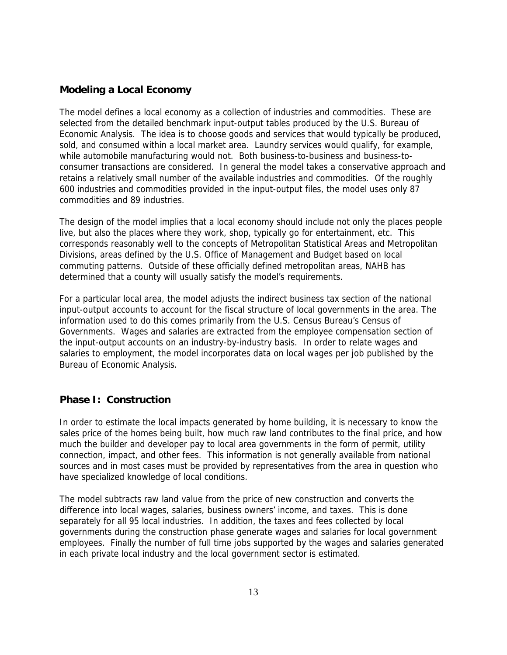#### **Modeling a Local Economy**

The model defines a local economy as a collection of industries and commodities. These are selected from the detailed benchmark input-output tables produced by the U.S. Bureau of Economic Analysis. The idea is to choose goods and services that would typically be produced, sold, and consumed within a local market area. Laundry services would qualify, for example, while automobile manufacturing would not. Both business-to-business and business-toconsumer transactions are considered. In general the model takes a conservative approach and retains a relatively small number of the available industries and commodities. Of the roughly 600 industries and commodities provided in the input-output files, the model uses only 87 commodities and 89 industries.

The design of the model implies that a local economy should include not only the places people live, but also the places where they work, shop, typically go for entertainment, etc. This corresponds reasonably well to the concepts of Metropolitan Statistical Areas and Metropolitan Divisions, areas defined by the U.S. Office of Management and Budget based on local commuting patterns. Outside of these officially defined metropolitan areas, NAHB has determined that a county will usually satisfy the model's requirements.

For a particular local area, the model adjusts the indirect business tax section of the national input-output accounts to account for the fiscal structure of local governments in the area. The information used to do this comes primarily from the U.S. Census Bureau's Census of Governments. Wages and salaries are extracted from the employee compensation section of the input-output accounts on an industry-by-industry basis. In order to relate wages and salaries to employment, the model incorporates data on local wages per job published by the Bureau of Economic Analysis.

#### **Phase I: Construction**

In order to estimate the local impacts generated by home building, it is necessary to know the sales price of the homes being built, how much raw land contributes to the final price, and how much the builder and developer pay to local area governments in the form of permit, utility connection, impact, and other fees. This information is not generally available from national sources and in most cases must be provided by representatives from the area in question who have specialized knowledge of local conditions.

The model subtracts raw land value from the price of new construction and converts the difference into local wages, salaries, business owners' income, and taxes. This is done separately for all 95 local industries. In addition, the taxes and fees collected by local governments during the construction phase generate wages and salaries for local government employees. Finally the number of full time jobs supported by the wages and salaries generated in each private local industry and the local government sector is estimated.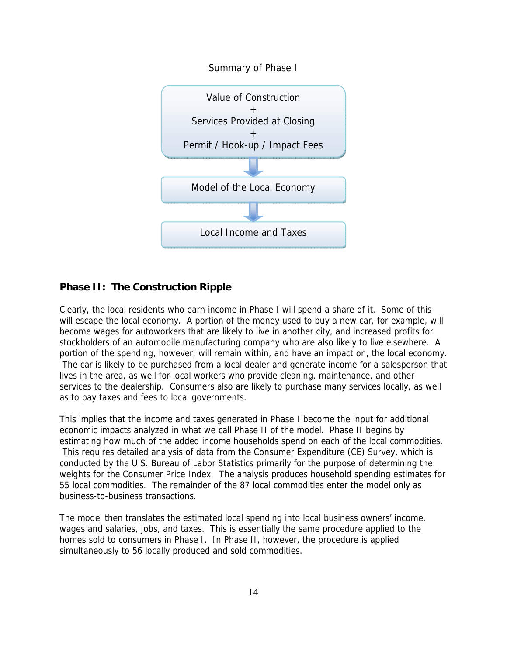

#### **Phase II: The Construction Ripple**

Clearly, the local residents who earn income in Phase I will spend a share of it. Some of this will escape the local economy. A portion of the money used to buy a new car, for example, will become wages for autoworkers that are likely to live in another city, and increased profits for stockholders of an automobile manufacturing company who are also likely to live elsewhere. A portion of the spending, however, will remain within, and have an impact on, the local economy. The car is likely to be purchased from a local dealer and generate income for a salesperson that lives in the area, as well for local workers who provide cleaning, maintenance, and other services to the dealership. Consumers also are likely to purchase many services locally, as well as to pay taxes and fees to local governments.

This implies that the income and taxes generated in Phase I become the input for additional economic impacts analyzed in what we call Phase II of the model. Phase II begins by estimating how much of the added income households spend on each of the local commodities. This requires detailed analysis of data from the Consumer Expenditure (CE) Survey, which is conducted by the U.S. Bureau of Labor Statistics primarily for the purpose of determining the weights for the Consumer Price Index. The analysis produces household spending estimates for 55 local commodities. The remainder of the 87 local commodities enter the model only as business-to-business transactions.

The model then translates the estimated local spending into local business owners' income, wages and salaries, jobs, and taxes. This is essentially the same procedure applied to the homes sold to consumers in Phase I. In Phase II, however, the procedure is applied simultaneously to 56 locally produced and sold commodities.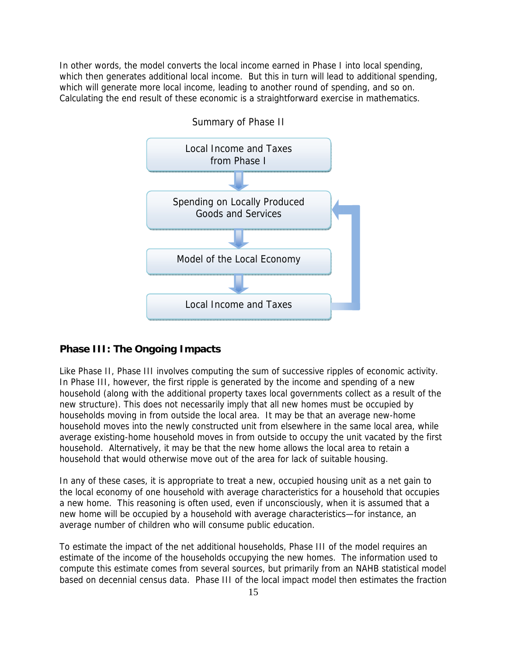In other words, the model converts the local income earned in Phase I into local spending, which then generates additional local income. But this in turn will lead to additional spending, which will generate more local income, leading to another round of spending, and so on. Calculating the end result of these economic is a straightforward exercise in mathematics.



#### **Phase III: The Ongoing Impacts**

Like Phase II, Phase III involves computing the sum of successive ripples of economic activity. In Phase III, however, the first ripple is generated by the income and spending of a new household (along with the additional property taxes local governments collect as a result of the new structure). This does not necessarily imply that all new homes must be occupied by households moving in from outside the local area. It may be that an average new-home household moves into the newly constructed unit from elsewhere in the same local area, while average existing-home household moves in from outside to occupy the unit vacated by the first household. Alternatively, it may be that the new home allows the local area to retain a household that would otherwise move out of the area for lack of suitable housing.

In any of these cases, it is appropriate to treat a new, occupied housing unit as a net gain to the local economy of one household with average characteristics for a household that occupies a new home. This reasoning is often used, even if unconsciously, when it is assumed that a new home will be occupied by a household with average characteristics—for instance, an average number of children who will consume public education.

To estimate the impact of the net additional households, Phase III of the model requires an estimate of the income of the households occupying the new homes. The information used to compute this estimate comes from several sources, but primarily from an NAHB statistical model based on decennial census data. Phase III of the local impact model then estimates the fraction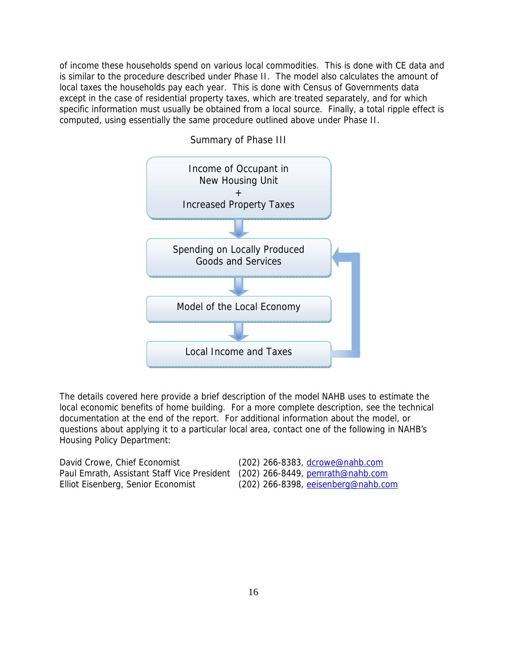of income these households spend on various local commodities. This is done with CE data and is similar to the procedure described under Phase II. The model also calculates the amount of local taxes the households pay each year. This is done with Census of Governments data except in the case of residential property taxes, which are treated separately, and for which specific information must usually be obtained from a local source. Finally, a total ripple effect is computed, using essentially the same procedure outlined above under Phase II.



Summary of Phase III

The details covered here provide a brief description of the model NAHB uses to estimate the local economic benefits of home building. For a more complete description, see the technical documentation at the end of the report. For additional information about the model, or questions about applying it to a particular local area, contact one of the following in NAHB's Housing Policy Department:

| David Crowe, Chief Economist                                                 | (202) 266-8383, dcrowe@nahb.com       |
|------------------------------------------------------------------------------|---------------------------------------|
| Paul Emrath, Assistant Staff Vice President (202) 266-8449, pemrath@nahb.com |                                       |
| Elliot Eisenberg, Senior Economist                                           | $(202)$ 266-8398, eeisenberg@nahb.com |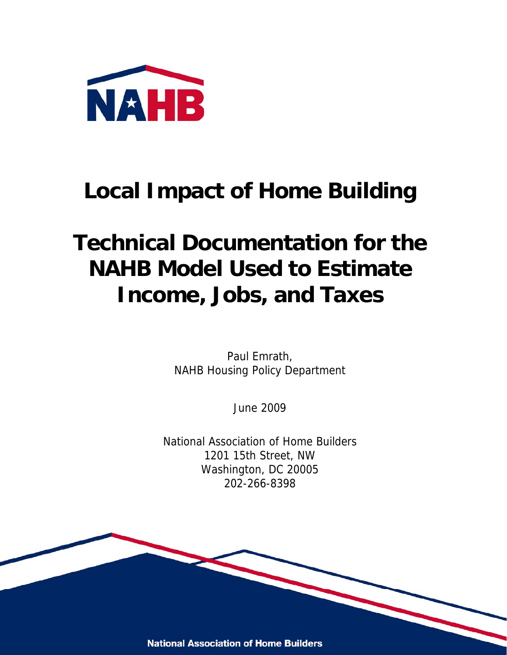

### **Local Impact of Home Building**

# **Technical Documentation for the NAHB Model Used to Estimate Income, Jobs, and Taxes**

Paul Emrath, NAHB Housing Policy Department

June 2009

National Association of Home Builders 1201 15th Street, NW Washington, DC 20005 202-266-8398

**National Association of Home Builders**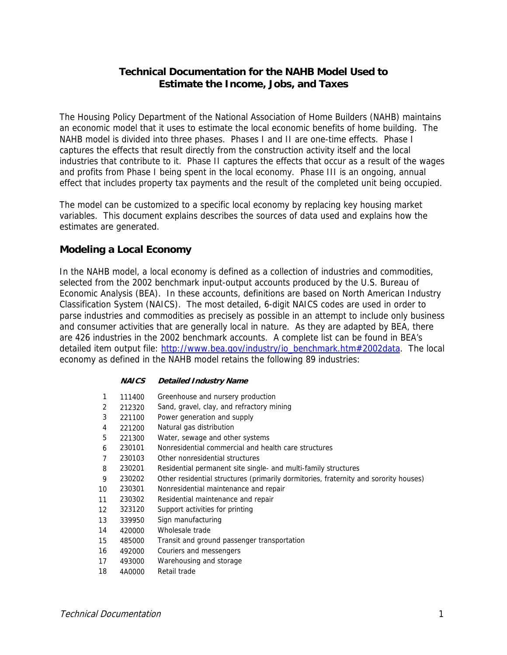#### **Technical Documentation for the NAHB Model Used to Estimate the Income, Jobs, and Taxes**

The Housing Policy Department of the National Association of Home Builders (NAHB) maintains an economic model that it uses to estimate the local economic benefits of home building. The NAHB model is divided into three phases. Phases I and II are one-time effects. Phase I captures the effects that result directly from the construction activity itself and the local industries that contribute to it. Phase II captures the effects that occur as a result of the wages and profits from Phase I being spent in the local economy. Phase III is an ongoing, annual effect that includes property tax payments and the result of the completed unit being occupied.

The model can be customized to a specific local economy by replacing key housing market variables. This document explains describes the sources of data used and explains how the estimates are generated.

#### **Modeling a Local Economy**

In the NAHB model, a local economy is defined as a collection of industries and commodities, selected from the 2002 benchmark input-output accounts produced by the U.S. Bureau of Economic Analysis (BEA). In these accounts, definitions are based on North American Industry Classification System (NAICS). The most detailed, 6-digit NAICS codes are used in order to parse industries and commodities as precisely as possible in an attempt to include only business and consumer activities that are generally local in nature. As they are adapted by BEA, there are 426 industries in the 2002 benchmark accounts. A complete list can be found in BEA's detailed item output file: http://www.bea.gov/industry/io\_benchmark.htm#2002data. The local economy as defined in the NAHB model retains the following 89 industries:

|    | <i>NAICS</i> | <b>Detailed Industry Name</b>                                                        |
|----|--------------|--------------------------------------------------------------------------------------|
| 1  | 111400       | Greenhouse and nursery production                                                    |
| 2  | 212320       | Sand, gravel, clay, and refractory mining                                            |
| 3  | 221100       | Power generation and supply                                                          |
| 4  | 221200       | Natural gas distribution                                                             |
| 5  | 221300       | Water, sewage and other systems                                                      |
| 6  | 230101       | Nonresidential commercial and health care structures                                 |
| 7  | 230103       | Other nonresidential structures                                                      |
| 8  | 230201       | Residential permanent site single- and multi-family structures                       |
| 9  | 230202       | Other residential structures (primarily dormitories, fraternity and sorority houses) |
| 10 | 230301       | Nonresidential maintenance and repair                                                |
| 11 | 230302       | Residential maintenance and repair                                                   |
| 12 | 323120       | Support activities for printing                                                      |
| 13 | 339950       | Sign manufacturing                                                                   |
| 14 | 420000       | Wholesale trade                                                                      |
| 15 | 485000       | Transit and ground passenger transportation                                          |
| 16 | 492000       | Couriers and messengers                                                              |
| 17 | 493000       | Warehousing and storage                                                              |
| 18 | 4A0000       | Retail trade                                                                         |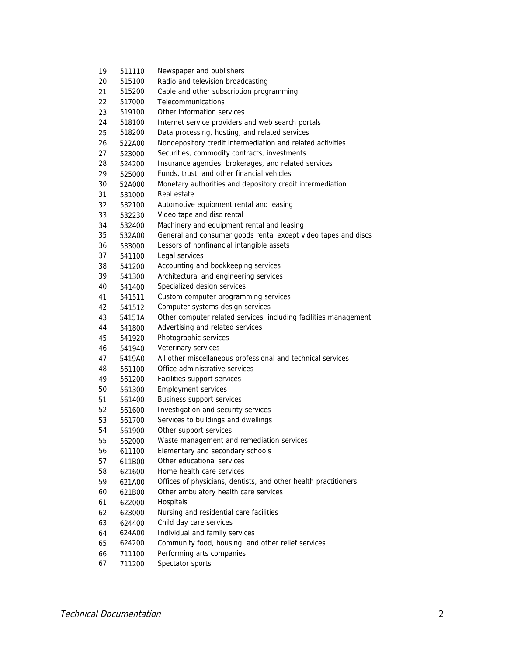| 19 | 511110 | Newspaper and publishers                                         |
|----|--------|------------------------------------------------------------------|
| 20 | 515100 | Radio and television broadcasting                                |
| 21 | 515200 | Cable and other subscription programming                         |
| 22 | 517000 | Telecommunications                                               |
| 23 | 519100 | Other information services                                       |
| 24 | 518100 | Internet service providers and web search portals                |
| 25 | 518200 | Data processing, hosting, and related services                   |
| 26 | 522A00 | Nondepository credit intermediation and related activities       |
| 27 | 523000 | Securities, commodity contracts, investments                     |
| 28 | 524200 | Insurance agencies, brokerages, and related services             |
| 29 | 525000 | Funds, trust, and other financial vehicles                       |
| 30 | 52A000 | Monetary authorities and depository credit intermediation        |
| 31 | 531000 | Real estate                                                      |
| 32 | 532100 | Automotive equipment rental and leasing                          |
| 33 | 532230 | Video tape and disc rental                                       |
| 34 | 532400 | Machinery and equipment rental and leasing                       |
| 35 | 532A00 | General and consumer goods rental except video tapes and discs   |
| 36 | 533000 | Lessors of nonfinancial intangible assets                        |
| 37 | 541100 | Legal services                                                   |
| 38 | 541200 | Accounting and bookkeeping services                              |
| 39 | 541300 | Architectural and engineering services                           |
| 40 | 541400 | Specialized design services                                      |
| 41 | 541511 | Custom computer programming services                             |
| 42 | 541512 | Computer systems design services                                 |
| 43 | 54151A | Other computer related services, including facilities management |
| 44 | 541800 | Advertising and related services                                 |
| 45 | 541920 | Photographic services                                            |
| 46 | 541940 | Veterinary services                                              |
| 47 | 5419A0 | All other miscellaneous professional and technical services      |
| 48 | 561100 | Office administrative services                                   |
| 49 | 561200 | Facilities support services                                      |
| 50 | 561300 | <b>Employment services</b>                                       |
| 51 | 561400 | <b>Business support services</b>                                 |
| 52 | 561600 | Investigation and security services                              |
| 53 | 561700 | Services to buildings and dwellings                              |
| 54 | 561900 | Other support services                                           |
| 55 | 562000 | Waste management and remediation services                        |
| 56 | 611100 | Elementary and secondary schools                                 |
| 57 | 611B00 | Other educational services                                       |
| 58 | 621600 | Home health care services                                        |
| 59 | 621A00 | Offices of physicians, dentists, and other health practitioners  |
| 60 | 621B00 | Other ambulatory health care services                            |
| 61 | 622000 | Hospitals                                                        |
| 62 | 623000 | Nursing and residential care facilities                          |
| 63 | 624400 | Child day care services                                          |
| 64 | 624A00 | Individual and family services                                   |
| 65 | 624200 | Community food, housing, and other relief services               |
| 66 | 711100 | Performing arts companies                                        |
| 67 | 711200 | Spectator sports                                                 |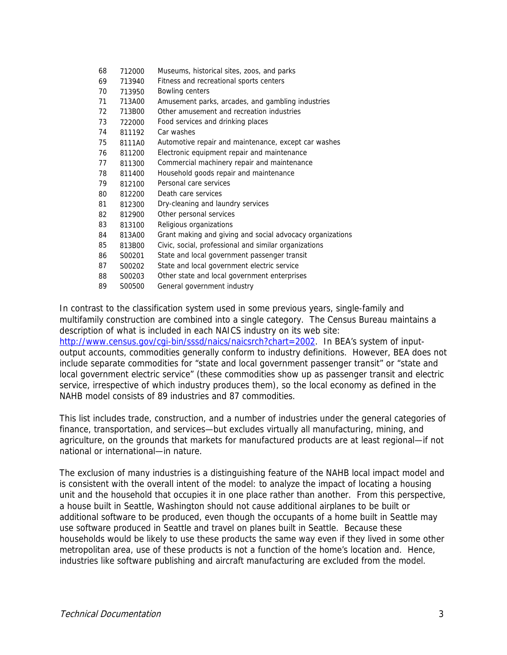| 68 | 712000 | Museums, historical sites, zoos, and parks                |
|----|--------|-----------------------------------------------------------|
| 69 | 713940 | Fitness and recreational sports centers                   |
| 70 | 713950 | <b>Bowling centers</b>                                    |
| 71 | 713A00 | Amusement parks, arcades, and gambling industries         |
| 72 | 713B00 | Other amusement and recreation industries                 |
| 73 | 722000 | Food services and drinking places                         |
| 74 | 811192 | Car washes                                                |
| 75 | 8111A0 | Automotive repair and maintenance, except car washes      |
| 76 | 811200 | Electronic equipment repair and maintenance               |
| 77 | 811300 | Commercial machinery repair and maintenance               |
| 78 | 811400 | Household goods repair and maintenance                    |
| 79 | 812100 | Personal care services                                    |
| 80 | 812200 | Death care services                                       |
| 81 | 812300 | Dry-cleaning and laundry services                         |
| 82 | 812900 | Other personal services                                   |
| 83 | 813100 | Religious organizations                                   |
| 84 | 813A00 | Grant making and giving and social advocacy organizations |
| 85 | 813B00 | Civic, social, professional and similar organizations     |
| 86 | S00201 | State and local government passenger transit              |
| 87 | S00202 | State and local government electric service               |
| 88 | S00203 | Other state and local government enterprises              |
| 89 | S00500 | General government industry                               |

In contrast to the classification system used in some previous years, single-family and multifamily construction are combined into a single category. The Census Bureau maintains a description of what is included in each NAICS industry on its web site: http://www.census.gov/cgi-bin/sssd/naics/naicsrch?chart=2002. In BEA's system of inputoutput accounts, commodities generally conform to industry definitions. However, BEA does not include separate commodities for "state and local government passenger transit" or "state and local government electric service" (these commodities show up as passenger transit and electric service, irrespective of which industry produces them), so the local economy as defined in the NAHB model consists of 89 industries and 87 commodities.

This list includes trade, construction, and a number of industries under the general categories of finance, transportation, and services—but excludes virtually all manufacturing, mining, and agriculture, on the grounds that markets for manufactured products are at least regional—if not national or international—in nature.

The exclusion of many industries is a distinguishing feature of the NAHB local impact model and is consistent with the overall intent of the model: to analyze the impact of locating a housing unit and the household that occupies it in one place rather than another. From this perspective, a house built in Seattle, Washington should not cause additional airplanes to be built or additional software to be produced, even though the occupants of a home built in Seattle may use software produced in Seattle and travel on planes built in Seattle. Because these households would be likely to use these products the same way even if they lived in some other metropolitan area, use of these products is not a function of the home's location and. Hence, industries like software publishing and aircraft manufacturing are excluded from the model.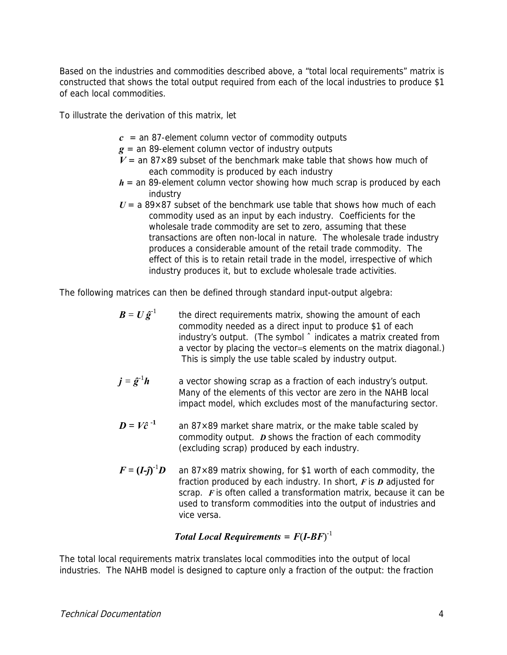Based on the industries and commodities described above, a "total local requirements" matrix is constructed that shows the total output required from each of the local industries to produce \$1 of each local commodities.

To illustrate the derivation of this matrix, let

- $c =$  an 87-element column vector of commodity outputs
- *g* = an 89-element column vector of industry outputs
- $V =$  an 87×89 subset of the benchmark make table that shows how much of each commodity is produced by each industry
- $h =$  an 89-element column vector showing how much scrap is produced by each industry
- $U = a 89 \times 87$  subset of the benchmark use table that shows how much of each commodity used as an input by each industry. Coefficients for the wholesale trade commodity are set to zero, assuming that these transactions are often non-local in nature. The wholesale trade industry produces a considerable amount of the retail trade commodity. The effect of this is to retain retail trade in the model, irrespective of which industry produces it, but to exclude wholesale trade activities.

The following matrices can then be defined through standard input-output algebra:

- $\mathbf{B} = \mathbf{U} \hat{\mathbf{g}}^{-1}$  the direct requirements matrix, showing the amount of each commodity needed as a direct input to produce \$1 of each industry's output. (The symbol ˆ indicates a matrix created from a vector by placing the vector=s elements on the matrix diagonal.) This is simply the use table scaled by industry output.
- $j = \hat{g}^{-1}h$  a vector showing scrap as a fraction of each industry's output. Many of the elements of this vector are zero in the NAHB local impact model, which excludes most of the manufacturing sector.
- $D = V\hat{c}^{-1}$  an 87×89 market share matrix, or the make table scaled by commodity output. *D* shows the fraction of each commodity (excluding scrap) produced by each industry.
- $F = (I \hat{j})^{-1}$ an 87 $\times$ 89 matrix showing, for \$1 worth of each commodity, the fraction produced by each industry. In short, *F* is *D* adjusted for scrap. *F* is often called a transformation matrix, because it can be used to transform commodities into the output of industries and vice versa.

#### *Total Local Requirements* = *F*(*I-BF*) -1

The total local requirements matrix translates local commodities into the output of local industries. The NAHB model is designed to capture only a fraction of the output: the fraction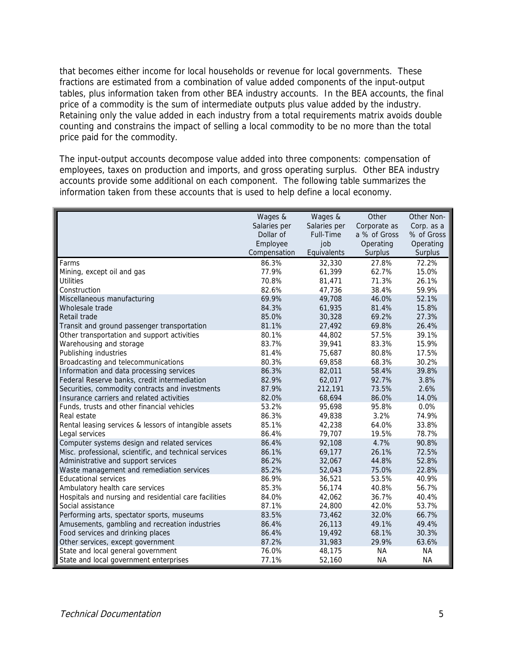that becomes either income for local households or revenue for local governments. These fractions are estimated from a combination of value added components of the input-output tables, plus information taken from other BEA industry accounts. In the BEA accounts, the final price of a commodity is the sum of intermediate outputs plus value added by the industry. Retaining only the value added in each industry from a total requirements matrix avoids double counting and constrains the impact of selling a local commodity to be no more than the total price paid for the commodity.

The input-output accounts decompose value added into three components: compensation of employees, taxes on production and imports, and gross operating surplus. Other BEA industry accounts provide some additional on each component. The following table summarizes the information taken from these accounts that is used to help define a local economy.

|                                                        | Wages &      | Wages &      | Other        | Other Non- |
|--------------------------------------------------------|--------------|--------------|--------------|------------|
|                                                        | Salaries per | Salaries per | Corporate as | Corp. as a |
|                                                        | Dollar of    | Full-Time    | a % of Gross | % of Gross |
|                                                        | Employee     | job          | Operating    | Operating  |
|                                                        | Compensation | Equivalents  | Surplus      | Surplus    |
| Farms                                                  | 86.3%        | 32,330       | 27.8%        | 72.2%      |
| Mining, except oil and gas                             | 77.9%        | 61,399       | 62.7%        | 15.0%      |
| <b>Utilities</b>                                       | 70.8%        | 81,471       | 71.3%        | 26.1%      |
| Construction                                           | 82.6%        | 47,736       | 38.4%        | 59.9%      |
| Miscellaneous manufacturing                            | 69.9%        | 49,708       | 46.0%        | 52.1%      |
| Wholesale trade                                        | 84.3%        | 61,935       | 81.4%        | 15.8%      |
| Retail trade                                           | 85.0%        | 30,328       | 69.2%        | 27.3%      |
| Transit and ground passenger transportation            | 81.1%        | 27,492       | 69.8%        | 26.4%      |
| Other transportation and support activities            | 80.1%        | 44,802       | 57.5%        | 39.1%      |
| Warehousing and storage                                | 83.7%        | 39,941       | 83.3%        | 15.9%      |
| Publishing industries                                  | 81.4%        | 75,687       | 80.8%        | 17.5%      |
| Broadcasting and telecommunications                    | 80.3%        | 69,858       | 68.3%        | 30.2%      |
| Information and data processing services               | 86.3%        | 82,011       | 58.4%        | 39.8%      |
| Federal Reserve banks, credit intermediation           | 82.9%        | 62,017       | 92.7%        | 3.8%       |
| Securities, commodity contracts and investments        | 87.9%        | 212,191      | 73.5%        | 2.6%       |
| Insurance carriers and related activities              | 82.0%        | 68,694       | 86.0%        | 14.0%      |
| Funds, trusts and other financial vehicles             | 53.2%        | 95,698       | 95.8%        | 0.0%       |
| Real estate                                            | 86.3%        | 49,838       | 3.2%         | 74.9%      |
| Rental leasing services & lessors of intangible assets | 85.1%        | 42,238       | 64.0%        | 33.8%      |
| Legal services                                         | 86.4%        | 79,707       | 19.5%        | 78.7%      |
| Computer systems design and related services           | 86.4%        | 92,108       | 4.7%         | 90.8%      |
| Misc. professional, scientific, and technical services | 86.1%        | 69,177       | 26.1%        | 72.5%      |
| Administrative and support services                    | 86.2%        | 32,067       | 44.8%        | 52.8%      |
| Waste management and remediation services              | 85.2%        | 52,043       | 75.0%        | 22.8%      |
| <b>Educational services</b>                            | 86.9%        | 36,521       | 53.5%        | 40.9%      |
| Ambulatory health care services                        | 85.3%        | 56,174       | 40.8%        | 56.7%      |
| Hospitals and nursing and residential care facilities  | 84.0%        | 42,062       | 36.7%        | 40.4%      |
| Social assistance                                      | 87.1%        | 24,800       | 42.0%        | 53.7%      |
| Performing arts, spectator sports, museums             | 83.5%        | 73,462       | 32.0%        | 66.7%      |
| Amusements, gambling and recreation industries         | 86.4%        | 26,113       | 49.1%        | 49.4%      |
| Food services and drinking places                      | 86.4%        | 19,492       | 68.1%        | 30.3%      |
| Other services, except government                      | 87.2%        | 31,983       | 29.9%        | 63.6%      |
| State and local general government                     | 76.0%        | 48,175       | <b>NA</b>    | NA         |
| State and local government enterprises                 | 77.1%        | 52,160       | <b>NA</b>    | NA         |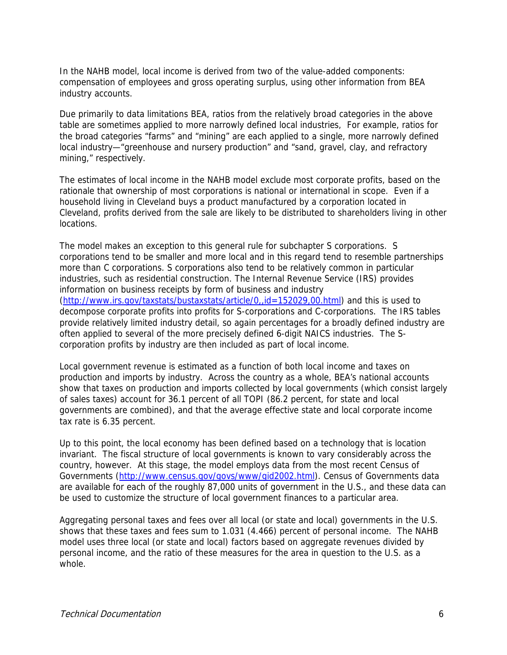In the NAHB model, local income is derived from two of the value-added components: compensation of employees and gross operating surplus, using other information from BEA industry accounts.

Due primarily to data limitations BEA, ratios from the relatively broad categories in the above table are sometimes applied to more narrowly defined local industries, For example, ratios for the broad categories "farms" and "mining" are each applied to a single, more narrowly defined local industry—"greenhouse and nursery production" and "sand, gravel, clay, and refractory mining," respectively.

The estimates of local income in the NAHB model exclude most corporate profits, based on the rationale that ownership of most corporations is national or international in scope. Even if a household living in Cleveland buys a product manufactured by a corporation located in Cleveland, profits derived from the sale are likely to be distributed to shareholders living in other locations.

The model makes an exception to this general rule for subchapter S corporations. S corporations tend to be smaller and more local and in this regard tend to resemble partnerships more than C corporations. S corporations also tend to be relatively common in particular industries, such as residential construction. The Internal Revenue Service (IRS) provides information on business receipts by form of business and industry (http://www.irs.gov/taxstats/bustaxstats/article/0,,id=152029,00.html) and this is used to decompose corporate profits into profits for S-corporations and C-corporations. The IRS tables provide relatively limited industry detail, so again percentages for a broadly defined industry are often applied to several of the more precisely defined 6-digit NAICS industries. The Scorporation profits by industry are then included as part of local income.

Local government revenue is estimated as a function of both local income and taxes on production and imports by industry. Across the country as a whole, BEA's national accounts show that taxes on production and imports collected by local governments (which consist largely of sales taxes) account for 36.1 percent of all TOPI (86.2 percent, for state and local governments are combined), and that the average effective state and local corporate income tax rate is 6.35 percent.

Up to this point, the local economy has been defined based on a technology that is location invariant. The fiscal structure of local governments is known to vary considerably across the country, however. At this stage, the model employs data from the most recent Census of Governments (http://www.census.gov/govs/www/gid2002.html). Census of Governments data are available for each of the roughly 87,000 units of government in the U.S., and these data can be used to customize the structure of local government finances to a particular area.

Aggregating personal taxes and fees over all local (or state and local) governments in the U.S. shows that these taxes and fees sum to 1.031 (4.466) percent of personal income. The NAHB model uses three local (or state and local) factors based on aggregate revenues divided by personal income, and the ratio of these measures for the area in question to the U.S. as a whole.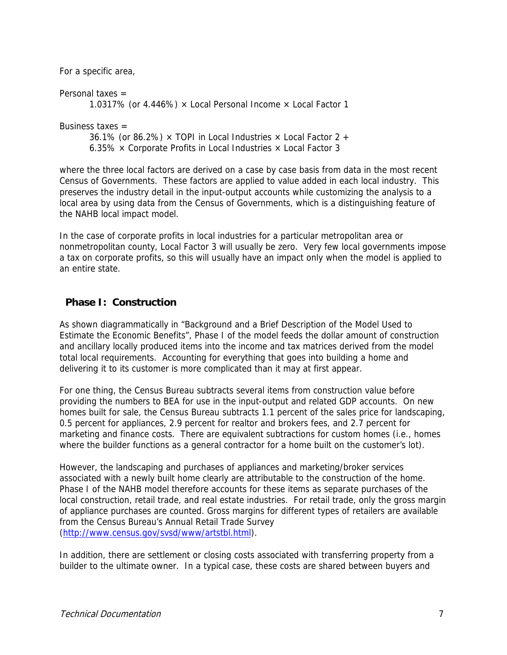Personal taxes = 1.0317% (or 4.446%)  $\times$  Local Personal Income  $\times$  Local Factor 1 Business taxes  $=$ 

36.1% (or 86.2%)  $\times$  TOPI in Local Industries  $\times$  Local Factor 2 + 6.35%  $\times$  Corporate Profits in Local Industries  $\times$  Local Factor 3

where the three local factors are derived on a case by case basis from data in the most recent Census of Governments. These factors are applied to value added in each local industry. This preserves the industry detail in the input-output accounts while customizing the analysis to a local area by using data from the Census of Governments, which is a distinguishing feature of the NAHB local impact model.

In the case of corporate profits in local industries for a particular metropolitan area or nonmetropolitan county, Local Factor 3 will usually be zero. Very few local governments impose a tax on corporate profits, so this will usually have an impact only when the model is applied to an entire state.

#### **Phase I: Construction**

For a specific area,

As shown diagrammatically in "Background and a Brief Description of the Model Used to Estimate the Economic Benefits", Phase I of the model feeds the dollar amount of construction and ancillary locally produced items into the income and tax matrices derived from the model total local requirements. Accounting for everything that goes into building a home and delivering it to its customer is more complicated than it may at first appear.

For one thing, the Census Bureau subtracts several items from construction value before providing the numbers to BEA for use in the input-output and related GDP accounts. On new homes built for sale, the Census Bureau subtracts 1.1 percent of the sales price for landscaping, 0.5 percent for appliances, 2.9 percent for realtor and brokers fees, and 2.7 percent for marketing and finance costs. There are equivalent subtractions for custom homes (i.e., homes where the builder functions as a general contractor for a home built on the customer's lot).

However, the landscaping and purchases of appliances and marketing/broker services associated with a newly built home clearly are attributable to the construction of the home. Phase I of the NAHB model therefore accounts for these items as separate purchases of the local construction, retail trade, and real estate industries. For retail trade, only the gross margin of appliance purchases are counted. Gross margins for different types of retailers are available from the Census Bureau's Annual Retail Trade Survey (http://www.census.gov/svsd/www/artstbl.html).

In addition, there are settlement or closing costs associated with transferring property from a builder to the ultimate owner. In a typical case, these costs are shared between buyers and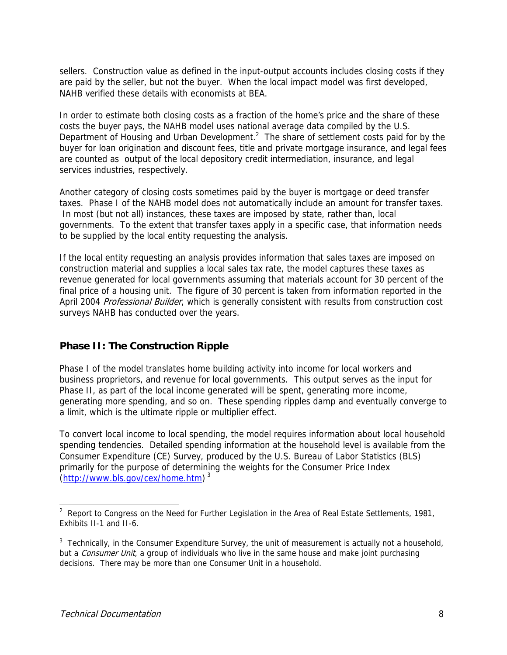sellers. Construction value as defined in the input-output accounts includes closing costs if they are paid by the seller, but not the buyer. When the local impact model was first developed, NAHB verified these details with economists at BEA.

In order to estimate both closing costs as a fraction of the home's price and the share of these costs the buyer pays, the NAHB model uses national average data compiled by the U.S. Department of Housing and Urban Development. $2$  The share of settlement costs paid for by the buyer for loan origination and discount fees, title and private mortgage insurance, and legal fees are counted as output of the local depository credit intermediation, insurance, and legal services industries, respectively.

Another category of closing costs sometimes paid by the buyer is mortgage or deed transfer taxes. Phase I of the NAHB model does not automatically include an amount for transfer taxes. In most (but not all) instances, these taxes are imposed by state, rather than, local governments. To the extent that transfer taxes apply in a specific case, that information needs to be supplied by the local entity requesting the analysis.

If the local entity requesting an analysis provides information that sales taxes are imposed on construction material and supplies a local sales tax rate, the model captures these taxes as revenue generated for local governments assuming that materials account for 30 percent of the final price of a housing unit. The figure of 30 percent is taken from information reported in the April 2004 Professional Builder, which is generally consistent with results from construction cost surveys NAHB has conducted over the years.

#### **Phase II: The Construction Ripple**

Phase I of the model translates home building activity into income for local workers and business proprietors, and revenue for local governments. This output serves as the input for Phase II, as part of the local income generated will be spent, generating more income, generating more spending, and so on. These spending ripples damp and eventually converge to a limit, which is the ultimate ripple or multiplier effect.

To convert local income to local spending, the model requires information about local household spending tendencies. Detailed spending information at the household level is available from the Consumer Expenditure (CE) Survey, produced by the U.S. Bureau of Labor Statistics (BLS) primarily for the purpose of determining the weights for the Consumer Price Index (http://www.bls.gov/cex/home.htm) 3

 $\overline{\phantom{a}}$ 

<sup>&</sup>lt;sup>2</sup> Report to Congress on the Need for Further Legislation in the Area of Real Estate Settlements, 1981, Exhibits II-1 and II-6.

 $3$  Technically, in the Consumer Expenditure Survey, the unit of measurement is actually not a household, but a *Consumer Unit*, a group of individuals who live in the same house and make joint purchasing decisions. There may be more than one Consumer Unit in a household.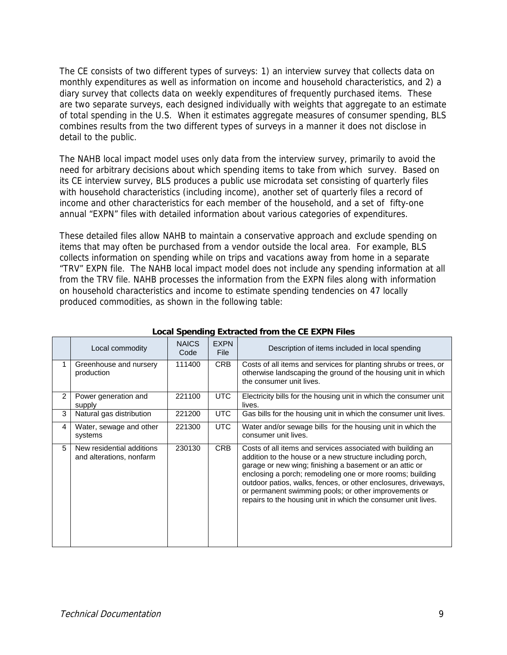The CE consists of two different types of surveys: 1) an interview survey that collects data on monthly expenditures as well as information on income and household characteristics, and 2) a diary survey that collects data on weekly expenditures of frequently purchased items. These are two separate surveys, each designed individually with weights that aggregate to an estimate of total spending in the U.S. When it estimates aggregate measures of consumer spending, BLS combines results from the two different types of surveys in a manner it does not disclose in detail to the public.

The NAHB local impact model uses only data from the interview survey, primarily to avoid the need for arbitrary decisions about which spending items to take from which survey. Based on its CE interview survey, BLS produces a public use microdata set consisting of quarterly files with household characteristics (including income), another set of quarterly files a record of income and other characteristics for each member of the household, and a set of fifty-one annual "EXPN" files with detailed information about various categories of expenditures.

These detailed files allow NAHB to maintain a conservative approach and exclude spending on items that may often be purchased from a vendor outside the local area. For example, BLS collects information on spending while on trips and vacations away from home in a separate "TRV" EXPN file. The NAHB local impact model does not include any spending information at all from the TRV file. NAHB processes the information from the EXPN files along with information on household characteristics and income to estimate spending tendencies on 47 locally produced commodities, as shown in the following table:

|   | Local commodity                                       | <b>NAICS</b><br>Code | <b>EXPN</b><br><b>File</b> | Description of items included in local spending                                                                                                                                                                                                                                                                                                                                                                                              |
|---|-------------------------------------------------------|----------------------|----------------------------|----------------------------------------------------------------------------------------------------------------------------------------------------------------------------------------------------------------------------------------------------------------------------------------------------------------------------------------------------------------------------------------------------------------------------------------------|
| 1 | Greenhouse and nursery<br>production                  | 111400               | <b>CRB</b>                 | Costs of all items and services for planting shrubs or trees, or<br>otherwise landscaping the ground of the housing unit in which<br>the consumer unit lives.                                                                                                                                                                                                                                                                                |
| 2 | Power generation and<br>supply                        | 221100               | UTC                        | Electricity bills for the housing unit in which the consumer unit<br>lives.                                                                                                                                                                                                                                                                                                                                                                  |
| 3 | Natural gas distribution                              | 221200               | UTC                        | Gas bills for the housing unit in which the consumer unit lives.                                                                                                                                                                                                                                                                                                                                                                             |
| 4 | Water, sewage and other<br>systems                    | 221300               | <b>UTC</b>                 | Water and/or sewage bills for the housing unit in which the<br>consumer unit lives.                                                                                                                                                                                                                                                                                                                                                          |
| 5 | New residential additions<br>and alterations, nonfarm | 230130               | CRB                        | Costs of all items and services associated with building an<br>addition to the house or a new structure including porch,<br>garage or new wing; finishing a basement or an attic or<br>enclosing a porch; remodeling one or more rooms; building<br>outdoor patios, walks, fences, or other enclosures, driveways,<br>or permanent swimming pools; or other improvements or<br>repairs to the housing unit in which the consumer unit lives. |

#### **Local Spending Extracted from the CE EXPN Files**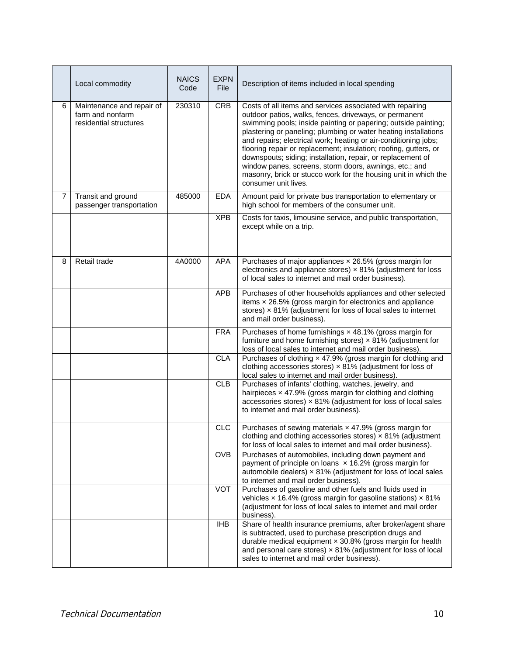|                | Local commodity                                                         | <b>NAICS</b><br>Code | <b>EXPN</b><br><b>File</b> | Description of items included in local spending                                                                                                                                                                                                                                                                                                                                                                                                                                                                                                                                                                     |
|----------------|-------------------------------------------------------------------------|----------------------|----------------------------|---------------------------------------------------------------------------------------------------------------------------------------------------------------------------------------------------------------------------------------------------------------------------------------------------------------------------------------------------------------------------------------------------------------------------------------------------------------------------------------------------------------------------------------------------------------------------------------------------------------------|
| 6              | Maintenance and repair of<br>farm and nonfarm<br>residential structures | 230310               | <b>CRB</b>                 | Costs of all items and services associated with repairing<br>outdoor patios, walks, fences, driveways, or permanent<br>swimming pools; inside painting or papering; outside painting;<br>plastering or paneling; plumbing or water heating installations<br>and repairs; electrical work; heating or air-conditioning jobs;<br>flooring repair or replacement; insulation; roofing, gutters, or<br>downspouts; siding; installation, repair, or replacement of<br>window panes, screens, storm doors, awnings, etc.; and<br>masonry, brick or stucco work for the housing unit in which the<br>consumer unit lives. |
| $\overline{7}$ | Transit and ground<br>passenger transportation                          | 485000               | <b>EDA</b>                 | Amount paid for private bus transportation to elementary or<br>high school for members of the consumer unit.                                                                                                                                                                                                                                                                                                                                                                                                                                                                                                        |
|                |                                                                         |                      | <b>XPB</b>                 | Costs for taxis, limousine service, and public transportation,<br>except while on a trip.                                                                                                                                                                                                                                                                                                                                                                                                                                                                                                                           |
| 8              | Retail trade                                                            | 4A0000               | <b>APA</b>                 | Purchases of major appliances x 26.5% (gross margin for<br>electronics and appliance stores) $\times$ 81% (adjustment for loss<br>of local sales to internet and mail order business).                                                                                                                                                                                                                                                                                                                                                                                                                              |
|                |                                                                         |                      | <b>APB</b>                 | Purchases of other households appliances and other selected<br>items $\times$ 26.5% (gross margin for electronics and appliance<br>stores) x 81% (adjustment for loss of local sales to internet<br>and mail order business).                                                                                                                                                                                                                                                                                                                                                                                       |
|                |                                                                         |                      | <b>FRA</b>                 | Purchases of home furnishings x 48.1% (gross margin for<br>furniture and home furnishing stores) $\times$ 81% (adjustment for<br>loss of local sales to internet and mail order business).                                                                                                                                                                                                                                                                                                                                                                                                                          |
|                |                                                                         |                      | CLA                        | Purchases of clothing x 47.9% (gross margin for clothing and<br>clothing accessories stores) $\times$ 81% (adjustment for loss of<br>local sales to internet and mail order business).                                                                                                                                                                                                                                                                                                                                                                                                                              |
|                |                                                                         |                      | CLB                        | Purchases of infants' clothing, watches, jewelry, and<br>hairpieces x 47.9% (gross margin for clothing and clothing<br>accessories stores) x 81% (adjustment for loss of local sales<br>to internet and mail order business).                                                                                                                                                                                                                                                                                                                                                                                       |
|                |                                                                         |                      | CLC                        | Purchases of sewing materials x 47.9% (gross margin for<br>clothing and clothing accessories stores) $\times$ 81% (adjustment<br>for loss of local sales to internet and mail order business).                                                                                                                                                                                                                                                                                                                                                                                                                      |
|                |                                                                         |                      | <b>OVB</b>                 | Purchases of automobiles, including down payment and<br>payment of principle on loans $\times$ 16.2% (gross margin for<br>automobile dealers) $\times$ 81% (adjustment for loss of local sales<br>to internet and mail order business).                                                                                                                                                                                                                                                                                                                                                                             |
|                |                                                                         |                      | <b>VOT</b>                 | Purchases of gasoline and other fuels and fluids used in<br>vehicles $\times$ 16.4% (gross margin for gasoline stations) $\times$ 81%<br>(adjustment for loss of local sales to internet and mail order<br>business).                                                                                                                                                                                                                                                                                                                                                                                               |
|                |                                                                         |                      | <b>IHB</b>                 | Share of health insurance premiums, after broker/agent share<br>is subtracted, used to purchase prescription drugs and<br>durable medical equipment $\times$ 30.8% (gross margin for health<br>and personal care stores) $\times$ 81% (adjustment for loss of local<br>sales to internet and mail order business).                                                                                                                                                                                                                                                                                                  |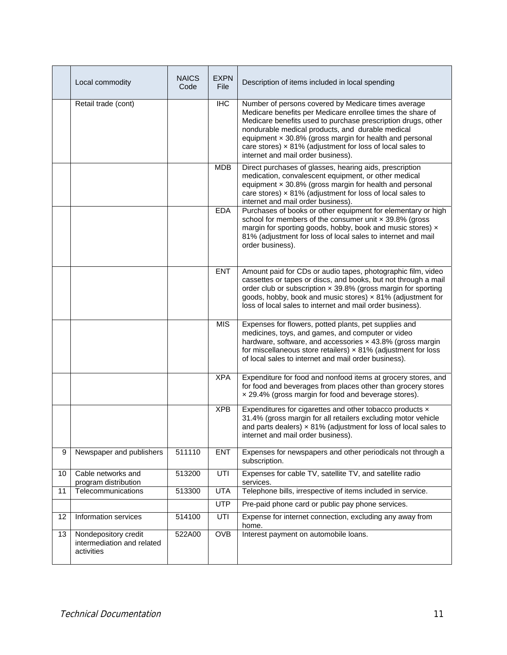|    | Local commodity                                                  | <b>NAICS</b><br>Code | <b>EXPN</b><br><b>File</b> | Description of items included in local spending                                                                                                                                                                                                                                                                                                                                                            |
|----|------------------------------------------------------------------|----------------------|----------------------------|------------------------------------------------------------------------------------------------------------------------------------------------------------------------------------------------------------------------------------------------------------------------------------------------------------------------------------------------------------------------------------------------------------|
|    | Retail trade (cont)                                              |                      | <b>IHC</b>                 | Number of persons covered by Medicare times average<br>Medicare benefits per Medicare enrollee times the share of<br>Medicare benefits used to purchase prescription drugs, other<br>nondurable medical products, and durable medical<br>equipment x 30.8% (gross margin for health and personal<br>care stores) $\times$ 81% (adjustment for loss of local sales to<br>internet and mail order business). |
|    |                                                                  |                      | <b>MDB</b>                 | Direct purchases of glasses, hearing aids, prescription<br>medication, convalescent equipment, or other medical<br>equipment $\times$ 30.8% (gross margin for health and personal<br>care stores) $\times$ 81% (adjustment for loss of local sales to<br>internet and mail order business).                                                                                                                |
|    |                                                                  |                      | <b>EDA</b>                 | Purchases of books or other equipment for elementary or high<br>school for members of the consumer unit x 39.8% (gross<br>margin for sporting goods, hobby, book and music stores) x<br>81% (adjustment for loss of local sales to internet and mail<br>order business).                                                                                                                                   |
|    |                                                                  |                      | <b>ENT</b>                 | Amount paid for CDs or audio tapes, photographic film, video<br>cassettes or tapes or discs, and books, but not through a mail<br>order club or subscription $\times$ 39.8% (gross margin for sporting<br>goods, hobby, book and music stores) x 81% (adjustment for<br>loss of local sales to internet and mail order business).                                                                          |
|    |                                                                  |                      | <b>MIS</b>                 | Expenses for flowers, potted plants, pet supplies and<br>medicines, toys, and games, and computer or video<br>hardware, software, and accessories x 43.8% (gross margin<br>for miscellaneous store retailers) $\times$ 81% (adjustment for loss<br>of local sales to internet and mail order business).                                                                                                    |
|    |                                                                  |                      | <b>XPA</b>                 | Expenditure for food and nonfood items at grocery stores, and<br>for food and beverages from places other than grocery stores<br>x 29.4% (gross margin for food and beverage stores).                                                                                                                                                                                                                      |
|    |                                                                  |                      | <b>XPB</b>                 | Expenditures for cigarettes and other tobacco products x<br>31.4% (gross margin for all retailers excluding motor vehicle<br>and parts dealers) $\times$ 81% (adjustment for loss of local sales to<br>internet and mail order business).                                                                                                                                                                  |
| 9  | Newspaper and publishers                                         | 511110               | <b>ENT</b>                 | Expenses for newspapers and other periodicals not through a<br>subscription.                                                                                                                                                                                                                                                                                                                               |
| 10 | Cable networks and<br>program distribution                       | 513200               | UTI                        | Expenses for cable TV, satellite TV, and satellite radio<br>services.                                                                                                                                                                                                                                                                                                                                      |
| 11 | Telecommunications                                               | 513300               | <b>UTA</b>                 | Telephone bills, irrespective of items included in service.                                                                                                                                                                                                                                                                                                                                                |
|    |                                                                  |                      | <b>UTP</b>                 | Pre-paid phone card or public pay phone services.                                                                                                                                                                                                                                                                                                                                                          |
| 12 | Information services                                             | 514100               | UTI                        | Expense for internet connection, excluding any away from<br>home.                                                                                                                                                                                                                                                                                                                                          |
| 13 | Nondepository credit<br>intermediation and related<br>activities | 522A00               | <b>OVB</b>                 | Interest payment on automobile loans.                                                                                                                                                                                                                                                                                                                                                                      |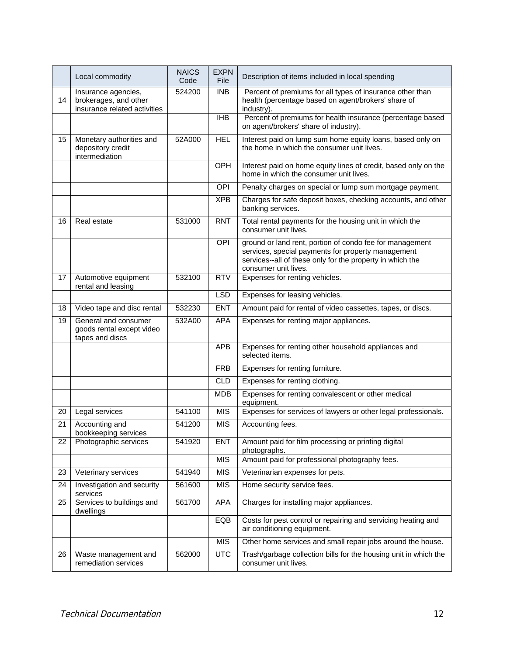|    | Local commodity                                                              | <b>NAICS</b><br>Code | <b>EXPN</b><br>File | Description of items included in local spending                                                                                                                                                     |
|----|------------------------------------------------------------------------------|----------------------|---------------------|-----------------------------------------------------------------------------------------------------------------------------------------------------------------------------------------------------|
| 14 | Insurance agencies,<br>brokerages, and other<br>insurance related activities | 524200               | <b>INB</b>          | Percent of premiums for all types of insurance other than<br>health (percentage based on agent/brokers' share of<br>industry).                                                                      |
|    |                                                                              |                      | <b>IHB</b>          | Percent of premiums for health insurance (percentage based<br>on agent/brokers' share of industry).                                                                                                 |
| 15 | Monetary authorities and<br>depository credit<br>intermediation              | 52A000               | <b>HEL</b>          | Interest paid on lump sum home equity loans, based only on<br>the home in which the consumer unit lives.                                                                                            |
|    |                                                                              |                      | OPH                 | Interest paid on home equity lines of credit, based only on the<br>home in which the consumer unit lives.                                                                                           |
|    |                                                                              |                      | OPI                 | Penalty charges on special or lump sum mortgage payment.                                                                                                                                            |
|    |                                                                              |                      | <b>XPB</b>          | Charges for safe deposit boxes, checking accounts, and other<br>banking services.                                                                                                                   |
| 16 | Real estate                                                                  | 531000               | <b>RNT</b>          | Total rental payments for the housing unit in which the<br>consumer unit lives.                                                                                                                     |
|    |                                                                              |                      | OPI                 | ground or land rent, portion of condo fee for management<br>services, special payments for property management<br>services--all of these only for the property in which the<br>consumer unit lives. |
| 17 | Automotive equipment<br>rental and leasing                                   | 532100               | <b>RTV</b>          | Expenses for renting vehicles.                                                                                                                                                                      |
|    |                                                                              |                      | <b>LSD</b>          | Expenses for leasing vehicles.                                                                                                                                                                      |
| 18 | Video tape and disc rental                                                   | 532230               | <b>ENT</b>          | Amount paid for rental of video cassettes, tapes, or discs.                                                                                                                                         |
| 19 | General and consumer<br>goods rental except video<br>tapes and discs         | 532A00               | <b>APA</b>          | Expenses for renting major appliances.                                                                                                                                                              |
|    |                                                                              |                      | <b>APB</b>          | Expenses for renting other household appliances and<br>selected items.                                                                                                                              |
|    |                                                                              |                      | <b>FRB</b>          | Expenses for renting furniture.                                                                                                                                                                     |
|    |                                                                              |                      | <b>CLD</b>          | Expenses for renting clothing.                                                                                                                                                                      |
|    |                                                                              |                      | <b>MDB</b>          | Expenses for renting convalescent or other medical<br>equipment.                                                                                                                                    |
| 20 | Legal services                                                               | 541100               | <b>MIS</b>          | Expenses for services of lawyers or other legal professionals.                                                                                                                                      |
| 21 | Accounting and<br>bookkeeping services                                       | 541200               | <b>MIS</b>          | Accounting fees.                                                                                                                                                                                    |
| 22 | Photographic services                                                        | 541920               | <b>ENT</b>          | Amount paid for film processing or printing digital<br>photographs.                                                                                                                                 |
|    |                                                                              |                      | <b>MIS</b>          | Amount paid for professional photography fees.                                                                                                                                                      |
| 23 | Veterinary services                                                          | 541940               | <b>MIS</b>          | Veterinarian expenses for pets.                                                                                                                                                                     |
| 24 | Investigation and security<br>services                                       | 561600               | <b>MIS</b>          | Home security service fees.                                                                                                                                                                         |
| 25 | Services to buildings and<br>dwellings                                       | 561700               | <b>APA</b>          | Charges for installing major appliances.                                                                                                                                                            |
|    |                                                                              |                      | EQB                 | Costs for pest control or repairing and servicing heating and<br>air conditioning equipment.                                                                                                        |
|    |                                                                              |                      | <b>MIS</b>          | Other home services and small repair jobs around the house.                                                                                                                                         |
| 26 | Waste management and<br>remediation services                                 | 562000               | <b>UTC</b>          | Trash/garbage collection bills for the housing unit in which the<br>consumer unit lives.                                                                                                            |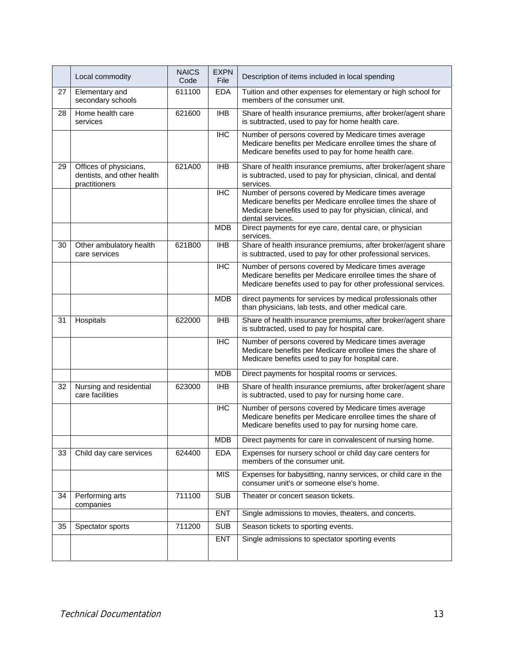|    | Local commodity                                                       | <b>NAICS</b><br>Code | <b>EXPN</b><br><b>File</b> | Description of items included in local spending                                                                                                                                                     |  |  |
|----|-----------------------------------------------------------------------|----------------------|----------------------------|-----------------------------------------------------------------------------------------------------------------------------------------------------------------------------------------------------|--|--|
| 27 | Elementary and<br>secondary schools                                   | 611100               | <b>EDA</b>                 | Tuition and other expenses for elementary or high school for<br>members of the consumer unit.                                                                                                       |  |  |
| 28 | Home health care<br>services                                          | 621600               | $\overline{I}$             | Share of health insurance premiums, after broker/agent share<br>is subtracted, used to pay for home health care.                                                                                    |  |  |
|    |                                                                       |                      | <b>IHC</b>                 | Number of persons covered by Medicare times average<br>Medicare benefits per Medicare enrollee times the share of<br>Medicare benefits used to pay for home health care.                            |  |  |
| 29 | Offices of physicians,<br>dentists, and other health<br>practitioners | 621A00               | <b>IHB</b>                 | Share of health insurance premiums, after broker/agent share<br>is subtracted, used to pay for physician, clinical, and dental<br>services.                                                         |  |  |
|    |                                                                       |                      | <b>IHC</b>                 | Number of persons covered by Medicare times average<br>Medicare benefits per Medicare enrollee times the share of<br>Medicare benefits used to pay for physician, clinical, and<br>dental services. |  |  |
|    |                                                                       |                      | <b>MDB</b>                 | Direct payments for eye care, dental care, or physician<br>services.                                                                                                                                |  |  |
| 30 | Other ambulatory health<br>care services                              | 621B00               | <b>IHB</b>                 | Share of health insurance premiums, after broker/agent share<br>is subtracted, used to pay for other professional services.                                                                         |  |  |
|    |                                                                       |                      | $\overline{HC}$            | Number of persons covered by Medicare times average<br>Medicare benefits per Medicare enrollee times the share of<br>Medicare benefits used to pay for other professional services.                 |  |  |
|    |                                                                       |                      | <b>MDB</b>                 | direct payments for services by medical professionals other<br>than physicians, lab tests, and other medical care.                                                                                  |  |  |
| 31 | Hospitals                                                             | 622000               | $\overline{I}$             | Share of health insurance premiums, after broker/agent share<br>is subtracted, used to pay for hospital care.                                                                                       |  |  |
|    |                                                                       |                      | <b>IHC</b>                 | Number of persons covered by Medicare times average<br>Medicare benefits per Medicare enrollee times the share of<br>Medicare benefits used to pay for hospital care.                               |  |  |
|    |                                                                       |                      | <b>MDB</b>                 | Direct payments for hospital rooms or services.                                                                                                                                                     |  |  |
| 32 | Nursing and residential<br>care facilities                            | 623000               | <b>IHB</b>                 | Share of health insurance premiums, after broker/agent share<br>is subtracted, used to pay for nursing home care.                                                                                   |  |  |
|    |                                                                       |                      | <b>IHC</b>                 | Number of persons covered by Medicare times average<br>Medicare benefits per Medicare enrollee times the share of<br>Medicare benefits used to pay for nursing home care.                           |  |  |
|    |                                                                       |                      | <b>MDB</b>                 | Direct payments for care in convalescent of nursing home.                                                                                                                                           |  |  |
| 33 | Child day care services                                               | 624400               | <b>EDA</b>                 | Expenses for nursery school or child day care centers for<br>members of the consumer unit.                                                                                                          |  |  |
|    |                                                                       |                      | <b>MIS</b>                 | Expenses for babysitting, nanny services, or child care in the<br>consumer unit's or someone else's home.                                                                                           |  |  |
| 34 | Performing arts<br>companies                                          | 711100               | <b>SUB</b>                 | Theater or concert season tickets.                                                                                                                                                                  |  |  |
|    |                                                                       |                      | <b>ENT</b>                 | Single admissions to movies, theaters, and concerts.                                                                                                                                                |  |  |
| 35 | Spectator sports                                                      | 711200               | <b>SUB</b>                 | Season tickets to sporting events.                                                                                                                                                                  |  |  |
|    |                                                                       |                      | <b>ENT</b>                 | Single admissions to spectator sporting events                                                                                                                                                      |  |  |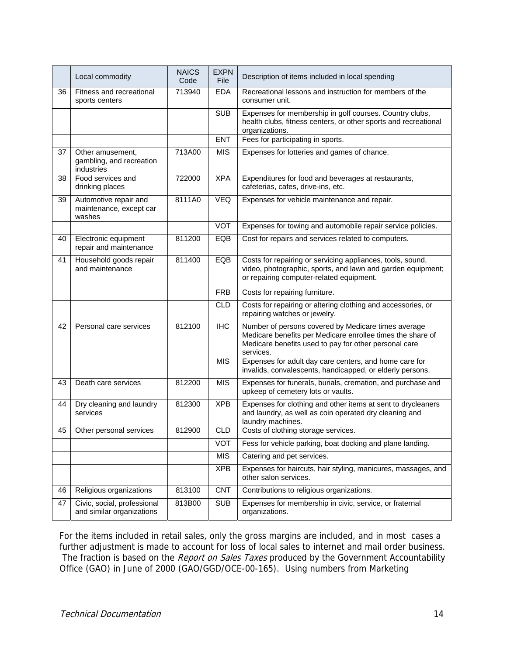|    | Local commodity                                            | <b>NAICS</b><br>Code | <b>EXPN</b><br>File | Description of items included in local spending                                                                                                                                         |  |  |
|----|------------------------------------------------------------|----------------------|---------------------|-----------------------------------------------------------------------------------------------------------------------------------------------------------------------------------------|--|--|
| 36 | Fitness and recreational<br>sports centers                 | 713940               | <b>EDA</b>          | Recreational lessons and instruction for members of the<br>consumer unit.                                                                                                               |  |  |
|    |                                                            |                      | <b>SUB</b>          | Expenses for membership in golf courses. Country clubs,<br>health clubs, fitness centers, or other sports and recreational<br>organizations.                                            |  |  |
|    |                                                            |                      | <b>ENT</b>          | Fees for participating in sports.                                                                                                                                                       |  |  |
| 37 | Other amusement,<br>gambling, and recreation<br>industries | 713A00               | <b>MIS</b>          | Expenses for lotteries and games of chance.                                                                                                                                             |  |  |
| 38 | Food services and<br>drinking places                       | 722000               | <b>XPA</b>          | Expenditures for food and beverages at restaurants,<br>cafeterias, cafes, drive-ins, etc.                                                                                               |  |  |
| 39 | Automotive repair and<br>maintenance, except car<br>washes | 8111A0               | <b>VEQ</b>          | Expenses for vehicle maintenance and repair.                                                                                                                                            |  |  |
|    |                                                            |                      | <b>VOT</b>          | Expenses for towing and automobile repair service policies.                                                                                                                             |  |  |
| 40 | Electronic equipment<br>repair and maintenance             | 811200               | EQB                 | Cost for repairs and services related to computers.                                                                                                                                     |  |  |
| 41 | Household goods repair<br>and maintenance                  | 811400               | EQB                 | Costs for repairing or servicing appliances, tools, sound,<br>video, photographic, sports, and lawn and garden equipment;<br>or repairing computer-related equipment.                   |  |  |
|    |                                                            |                      | <b>FRB</b>          | Costs for repairing furniture.                                                                                                                                                          |  |  |
|    |                                                            |                      | <b>CLD</b>          | Costs for repairing or altering clothing and accessories, or<br>repairing watches or jewelry.                                                                                           |  |  |
| 42 | Personal care services                                     | 812100               | <b>IHC</b>          | Number of persons covered by Medicare times average<br>Medicare benefits per Medicare enrollee times the share of<br>Medicare benefits used to pay for other personal care<br>services. |  |  |
|    |                                                            |                      | <b>MIS</b>          | Expenses for adult day care centers, and home care for<br>invalids, convalescents, handicapped, or elderly persons.                                                                     |  |  |
| 43 | Death care services                                        | 812200               | <b>MIS</b>          | Expenses for funerals, burials, cremation, and purchase and<br>upkeep of cemetery lots or vaults.                                                                                       |  |  |
| 44 | Dry cleaning and laundry<br>services                       | 812300               | <b>XPB</b>          | Expenses for clothing and other items at sent to drycleaners<br>and laundry, as well as coin operated dry cleaning and<br>laundry machines.                                             |  |  |
| 45 | Other personal services                                    | 812900               | <b>CLD</b>          | Costs of clothing storage services.                                                                                                                                                     |  |  |
|    |                                                            |                      | <b>VOT</b>          | Fess for vehicle parking, boat docking and plane landing.                                                                                                                               |  |  |
|    |                                                            |                      | <b>MIS</b>          | Catering and pet services.                                                                                                                                                              |  |  |
|    |                                                            |                      | <b>XPB</b>          | Expenses for haircuts, hair styling, manicures, massages, and<br>other salon services.                                                                                                  |  |  |
| 46 | Religious organizations                                    | 813100               | <b>CNT</b>          | Contributions to religious organizations.                                                                                                                                               |  |  |
| 47 | Civic, social, professional<br>and similar organizations   | 813B00               | <b>SUB</b>          | Expenses for membership in civic, service, or fraternal<br>organizations.                                                                                                               |  |  |

For the items included in retail sales, only the gross margins are included, and in most cases a further adjustment is made to account for loss of local sales to internet and mail order business. The fraction is based on the Report on Sales Taxes produced by the Government Accountability Office (GAO) in June of 2000 (GAO/GGD/OCE-00-165). Using numbers from Marketing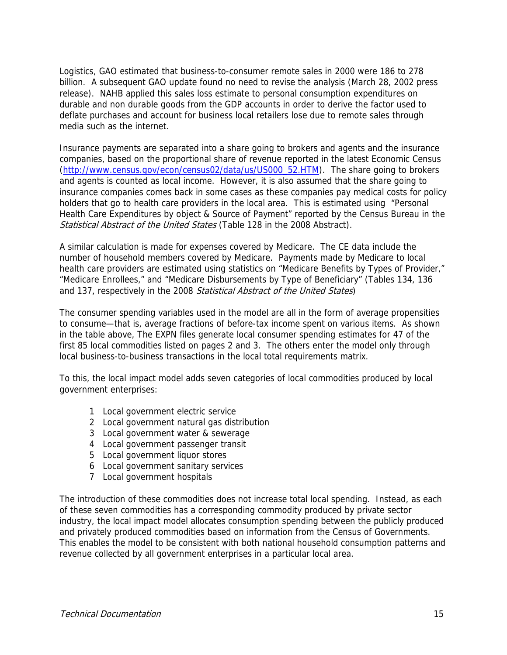Logistics, GAO estimated that business-to-consumer remote sales in 2000 were 186 to 278 billion. A subsequent GAO update found no need to revise the analysis (March 28, 2002 press release). NAHB applied this sales loss estimate to personal consumption expenditures on durable and non durable goods from the GDP accounts in order to derive the factor used to deflate purchases and account for business local retailers lose due to remote sales through media such as the internet.

Insurance payments are separated into a share going to brokers and agents and the insurance companies, based on the proportional share of revenue reported in the latest Economic Census (http://www.census.gov/econ/census02/data/us/US000\_52.HTM). The share going to brokers and agents is counted as local income. However, it is also assumed that the share going to insurance companies comes back in some cases as these companies pay medical costs for policy holders that go to health care providers in the local area. This is estimated using "Personal Health Care Expenditures by object & Source of Payment" reported by the Census Bureau in the Statistical Abstract of the United States (Table 128 in the 2008 Abstract).

A similar calculation is made for expenses covered by Medicare. The CE data include the number of household members covered by Medicare. Payments made by Medicare to local health care providers are estimated using statistics on "Medicare Benefits by Types of Provider," "Medicare Enrollees," and "Medicare Disbursements by Type of Beneficiary" (Tables 134, 136 and 137, respectively in the 2008 Statistical Abstract of the United States)

The consumer spending variables used in the model are all in the form of average propensities to consume—that is, average fractions of before-tax income spent on various items. As shown in the table above, The EXPN files generate local consumer spending estimates for 47 of the first 85 local commodities listed on pages 2 and 3. The others enter the model only through local business-to-business transactions in the local total requirements matrix.

To this, the local impact model adds seven categories of local commodities produced by local government enterprises:

- 1 Local government electric service
- 2 Local government natural gas distribution
- 3 Local government water & sewerage
- 4 Local government passenger transit
- 5 Local government liquor stores
- 6 Local government sanitary services
- 7 Local government hospitals

The introduction of these commodities does not increase total local spending. Instead, as each of these seven commodities has a corresponding commodity produced by private sector industry, the local impact model allocates consumption spending between the publicly produced and privately produced commodities based on information from the Census of Governments. This enables the model to be consistent with both national household consumption patterns and revenue collected by all government enterprises in a particular local area.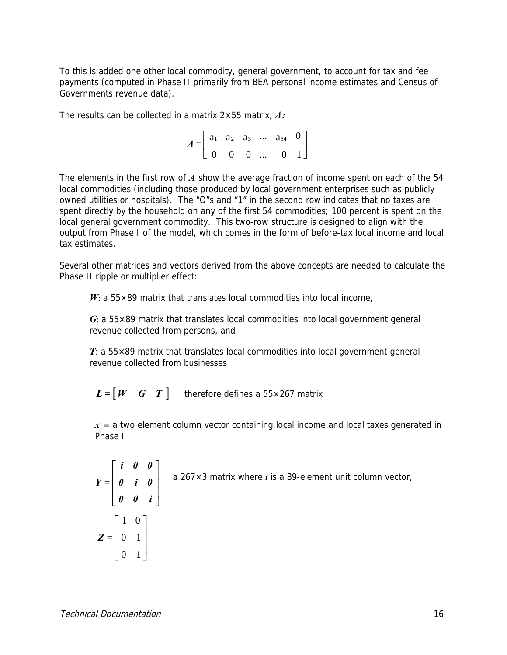To this is added one other local commodity, general government, to account for tax and fee payments (computed in Phase II primarily from BEA personal income estimates and Census of Governments revenue data).

The results can be collected in a matrix 2×55 matrix, *A***:** 

 $\overline{\phantom{a}}$ ⎦  $\begin{vmatrix} a_1 & a_2 & a_3 & \cdots & a_{54} & 0 \end{vmatrix}$ ⎣  $\mathsf{L}$ 0 0 0 ... 0 1  $A = \begin{bmatrix} a_1 & a_2 & a_3 & \cdots & a_{54} & 0 \end{bmatrix}$ 

The elements in the first row of *A* show the average fraction of income spent on each of the 54 local commodities (including those produced by local government enterprises such as publicly owned utilities or hospitals). The "O"s and "1" in the second row indicates that no taxes are spent directly by the household on any of the first 54 commodities; 100 percent is spent on the local general government commodity. This two-row structure is designed to align with the output from Phase I of the model, which comes in the form of before-tax local income and local tax estimates.

Several other matrices and vectors derived from the above concepts are needed to calculate the Phase II ripple or multiplier effect:

 $W: a 55 \times 89$  matrix that translates local commodities into local income,

*G*: a 55×89 matrix that translates local commodities into local government general revenue collected from persons, and

*T*: a 55×89 matrix that translates local commodities into local government general revenue collected from businesses

 $\boldsymbol{L} = | \boldsymbol{W} \boldsymbol{G} \boldsymbol{T} |$  therefore defines a 55×267 matrix

 $x = a$  two element column vector containing local income and local taxes generated in Phase I

$$
Y = \begin{bmatrix} i & 0 & 0 \\ 0 & i & 0 \\ 0 & 0 & i \end{bmatrix}
$$
 a 267×3 matrix where *i* is a 89-element unit column vector,  

$$
Z = \begin{bmatrix} 1 & 0 \\ 0 & 1 \\ 0 & 1 \end{bmatrix}
$$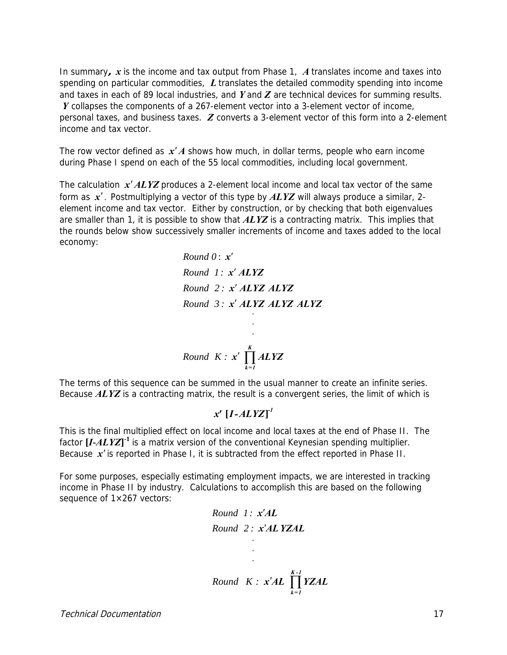In summary**,** *x* is the income and tax output from Phase 1, *A* translates income and taxes into spending on particular commodities, *L* translates the detailed commodity spending into income and taxes in each of 89 local industries, and *Y* and *Z* are technical devices for summing results. *Y* collapses the components of a 267-element vector into a 3-element vector of income, personal taxes, and business taxes. *Z* converts a 3-element vector of this form into a 2-element income and tax vector.

The row vector defined as *x*′*A* shows how much, in dollar terms, people who earn income during Phase I spend on each of the 55 local commodities, including local government.

The calculation *x*′*ALYZ* produces a 2-element local income and local tax vector of the same form as *x*′ . Postmultiplying a vector of this type by *ALYZ* will always produce a similar, 2 element income and tax vector. Either by construction, or by checking that both eigenvalues are smaller than 1, it is possible to show that *ALYZ* is a contracting matrix. This implies that the rounds below show successively smaller increments of income and taxes added to the local economy:

> . . .  $x'$   $\prod$  *ALYZ Round K* :  $x'$   $\prod^K$ *k=1 Round 3 : x*′ *ALYZ ALYZ ALYZ Round 0* : *x*′ *Round 1 : x*′ *ALYZ Round 2 : x*′ *ALYZ ALYZ*

The terms of this sequence can be summed in the usual manner to create an infinite series. Because *ALYZ* is a contracting matrix, the result is a convergent series, the limit of which is

#### **[ ]** *-1 x' I-ALYZ*

This is the final multiplied effect on local income and local taxes at the end of Phase II. The factor **[***I***-***ALYZ***] -1** is a matrix version of the conventional Keynesian spending multiplier. Because *x*′ is reported in Phase I, it is subtracted from the effect reported in Phase II.

For some purposes, especially estimating employment impacts, we are interested in tracking income in Phase II by industry. Calculations to accomplish this are based on the following sequence of  $1\times 267$  vectors:

Round 1: 
$$
x'AL
$$
  
\nRound 2:  $x'AL$  YZAL  
\n  
\n  
\nRound  $K$ :  $x'AL$   $\prod_{k=1}^{K-1} YZAL$ 

Technical Documentation 17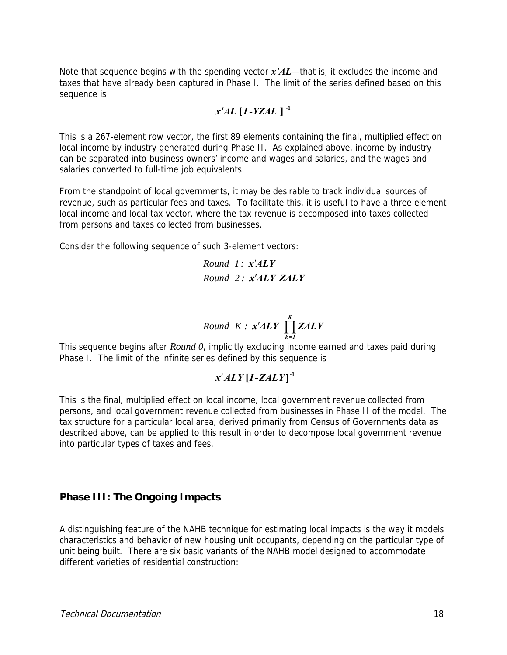Note that sequence begins with the spending vector *x'AL*—that is, it excludes the income and taxes that have already been captured in Phase I. The limit of the series defined based on this sequence is

$$
x'AL [I-YZAL]^{-1}
$$

This is a 267-element row vector, the first 89 elements containing the final, multiplied effect on local income by industry generated during Phase II. As explained above, income by industry can be separated into business owners' income and wages and salaries, and the wages and salaries converted to full-time job equivalents.

From the standpoint of local governments, it may be desirable to track individual sources of revenue, such as particular fees and taxes. To facilitate this, it is useful to have a three element local income and local tax vector, where the tax revenue is decomposed into taxes collected from persons and taxes collected from businesses.

Consider the following sequence of such 3-element vectors:

Round 1: 
$$
x'ALY
$$
  
\nRound 2:  $x'ALY ZALY$   
\n  
\n  
\nRound K:  $x'ALY \prod_{k=1}^{K} ZALY$ 

This sequence begins after *Round 0*, implicitly excluding income earned and taxes paid during Phase I. The limit of the infinite series defined by this sequence is

#### **[ ] -1** *x*′*ALY I-ZALY*

This is the final, multiplied effect on local income, local government revenue collected from persons, and local government revenue collected from businesses in Phase II of the model. The tax structure for a particular local area, derived primarily from Census of Governments data as described above, can be applied to this result in order to decompose local government revenue into particular types of taxes and fees.

#### **Phase III: The Ongoing Impacts**

A distinguishing feature of the NAHB technique for estimating local impacts is the way it models characteristics and behavior of new housing unit occupants, depending on the particular type of unit being built. There are six basic variants of the NAHB model designed to accommodate different varieties of residential construction: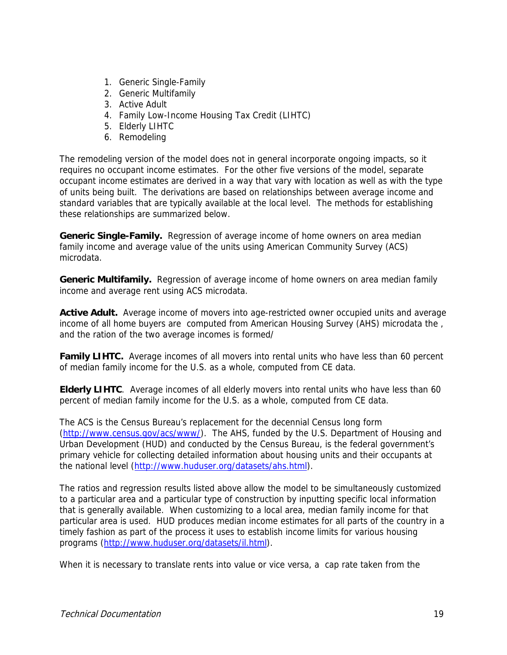- 1. Generic Single-Family
- 2. Generic Multifamily
- 3. Active Adult
- 4. Family Low-Income Housing Tax Credit (LIHTC)
- 5. Elderly LIHTC
- 6. Remodeling

The remodeling version of the model does not in general incorporate ongoing impacts, so it requires no occupant income estimates. For the other five versions of the model, separate occupant income estimates are derived in a way that vary with location as well as with the type of units being built. The derivations are based on relationships between average income and standard variables that are typically available at the local level. The methods for establishing these relationships are summarized below.

**Generic Single-Family.** Regression of average income of home owners on area median family income and average value of the units using American Community Survey (ACS) microdata.

**Generic Multifamily.** Regression of average income of home owners on area median family income and average rent using ACS microdata.

**Active Adult.** Average income of movers into age-restricted owner occupied units and average income of all home buyers are computed from American Housing Survey (AHS) microdata the , and the ration of the two average incomes is formed/

**Family LIHTC.** Average incomes of all movers into rental units who have less than 60 percent of median family income for the U.S. as a whole, computed from CE data.

**Elderly LIHTC**. Average incomes of all elderly movers into rental units who have less than 60 percent of median family income for the U.S. as a whole, computed from CE data.

The ACS is the Census Bureau's replacement for the decennial Census long form (http://www.census.gov/acs/www/). The AHS, funded by the U.S. Department of Housing and Urban Development (HUD) and conducted by the Census Bureau, is the federal government's primary vehicle for collecting detailed information about housing units and their occupants at the national level (http://www.huduser.org/datasets/ahs.html).

The ratios and regression results listed above allow the model to be simultaneously customized to a particular area and a particular type of construction by inputting specific local information that is generally available. When customizing to a local area, median family income for that particular area is used. HUD produces median income estimates for all parts of the country in a timely fashion as part of the process it uses to establish income limits for various housing programs (http://www.huduser.org/datasets/il.html).

When it is necessary to translate rents into value or vice versa, a cap rate taken from the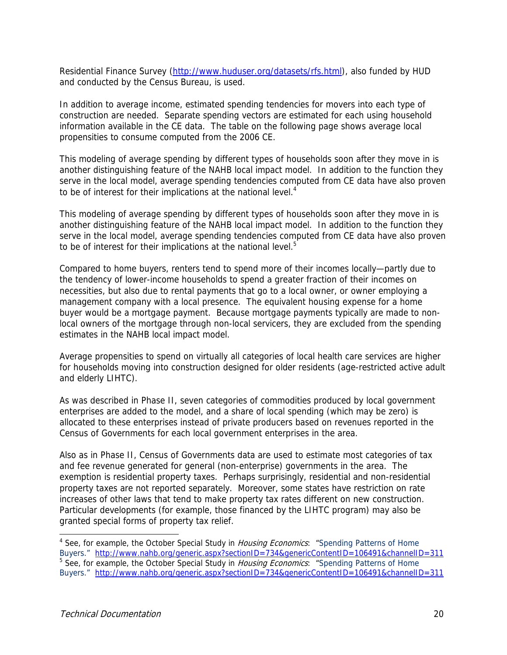Residential Finance Survey (http://www.huduser.org/datasets/rfs.html), also funded by HUD and conducted by the Census Bureau, is used.

In addition to average income, estimated spending tendencies for movers into each type of construction are needed. Separate spending vectors are estimated for each using household information available in the CE data. The table on the following page shows average local propensities to consume computed from the 2006 CE.

This modeling of average spending by different types of households soon after they move in is another distinguishing feature of the NAHB local impact model. In addition to the function they serve in the local model, average spending tendencies computed from CE data have also proven to be of interest for their implications at the national level.<sup>4</sup>

This modeling of average spending by different types of households soon after they move in is another distinguishing feature of the NAHB local impact model. In addition to the function they serve in the local model, average spending tendencies computed from CE data have also proven to be of interest for their implications at the national level.<sup>5</sup>

Compared to home buyers, renters tend to spend more of their incomes locally—partly due to the tendency of lower-income households to spend a greater fraction of their incomes on necessities, but also due to rental payments that go to a local owner, or owner employing a management company with a local presence. The equivalent housing expense for a home buyer would be a mortgage payment. Because mortgage payments typically are made to nonlocal owners of the mortgage through non-local servicers, they are excluded from the spending estimates in the NAHB local impact model.

Average propensities to spend on virtually all categories of local health care services are higher for households moving into construction designed for older residents (age-restricted active adult and elderly LIHTC).

As was described in Phase II, seven categories of commodities produced by local government enterprises are added to the model, and a share of local spending (which may be zero) is allocated to these enterprises instead of private producers based on revenues reported in the Census of Governments for each local government enterprises in the area.

Also as in Phase II, Census of Governments data are used to estimate most categories of tax and fee revenue generated for general (non-enterprise) governments in the area. The exemption is residential property taxes. Perhaps surprisingly, residential and non-residential property taxes are not reported separately. Moreover, some states have restriction on rate increases of other laws that tend to make property tax rates different on new construction. Particular developments (for example, those financed by the LIHTC program) may also be granted special forms of property tax relief.

 $\overline{\phantom{a}}$ 

<sup>&</sup>lt;sup>4</sup> See, for example, the October Special Study in *Housing Economics*: "Spending Patterns of Home Buyers." http://www.nahb.org/generic.aspx?sectionID=734&genericContentID=106491&channelID=311 <sup>5</sup> See, for example, the October Special Study in *Housing Economics*: "Spending Patterns of Home Buyers." http://www.nahb.org/generic.aspx?sectionID=734&genericContentID=106491&channelID=311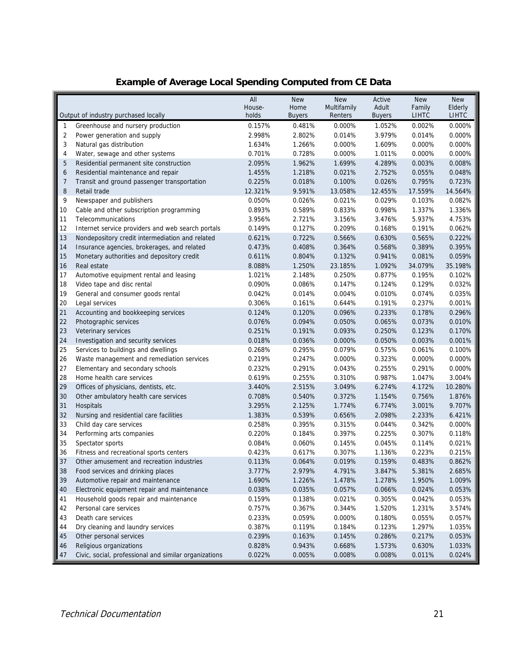|                |                                                       | All     | <b>New</b>    | <b>New</b>  | Active        | <b>New</b>   | <b>New</b>   |
|----------------|-------------------------------------------------------|---------|---------------|-------------|---------------|--------------|--------------|
|                |                                                       | House-  | Home          | Multifamily | Adult         | Family       | Elderly      |
|                | Output of industry purchased locally                  | holds   | <b>Buyers</b> | Renters     | <b>Buyers</b> | <b>LIHTC</b> | <b>LIHTC</b> |
| $\mathbf{1}$   | Greenhouse and nursery production                     | 0.157%  | 0.481%        | 0.000%      | 1.052%        | 0.002%       | 0.000%       |
| 2              | Power generation and supply                           | 2.998%  | 2.802%        | 0.014%      | 3.979%        | 0.014%       | 0.000%       |
| 3              | Natural gas distribution                              | 1.634%  | 1.266%        | 0.000%      | 1.609%        | 0.000%       | 0.000%       |
| 4              | Water, sewage and other systems                       | 0.701%  | 0.728%        | 0.000%      | 1.011%        | 0.000%       | 0.000%       |
| 5              | Residential permanent site construction               | 2.095%  | 1.962%        | 1.699%      | 4.289%        | 0.003%       | 0.008%       |
| 6              | Residential maintenance and repair                    | 1.455%  | 1.218%        | 0.021%      | 2.752%        | 0.055%       | 0.048%       |
| $\overline{7}$ | Transit and ground passenger transportation           | 0.225%  | 0.018%        | 0.100%      | 0.026%        | 0.795%       | 0.723%       |
| 8              | Retail trade                                          | 12.321% | 9.591%        | 13.058%     | 12.455%       | 17.559%      | 14.564%      |
| 9              | Newspaper and publishers                              | 0.050%  | 0.026%        | 0.021%      | 0.029%        | 0.103%       | 0.082%       |
| 10             | Cable and other subscription programming              | 0.893%  | 0.589%        | 0.833%      | 0.998%        | 1.337%       | 1.336%       |
| 11             | Telecommunications                                    | 3.956%  | 2.721%        | 3.156%      | 3.476%        | 5.937%       | 4.753%       |
| 12             | Internet service providers and web search portals     | 0.149%  | 0.127%        | 0.209%      | 0.168%        | 0.191%       | 0.062%       |
| 13             | Nondepository credit intermediation and related       | 0.621%  | 0.722%        | 0.566%      | 0.630%        | 0.565%       | 0.222%       |
| 14             | Insurance agencies, brokerages, and related           | 0.473%  | 0.408%        | 0.364%      | 0.568%        | 0.389%       | 0.395%       |
| 15             | Monetary authorities and depository credit            | 0.611%  | 0.804%        | 0.132%      | 0.941%        | 0.081%       | 0.059%       |
| 16             | Real estate                                           | 8.088%  | 1.250%        | 23.185%     | 1.092%        | 34.079%      | 35.198%      |
| 17             | Automotive equipment rental and leasing               | 1.021%  | 2.148%        | 0.250%      | 0.877%        | 0.195%       | 0.102%       |
| 18             | Video tape and disc rental                            | 0.090%  | 0.086%        | 0.147%      | 0.124%        | 0.129%       | 0.032%       |
| 19             | General and consumer goods rental                     | 0.042%  | 0.014%        | 0.004%      | 0.010%        | 0.074%       | 0.035%       |
| 20             | Legal services                                        | 0.306%  | 0.161%        | 0.644%      | 0.191%        | 0.237%       | 0.001%       |
| 21             | Accounting and bookkeeping services                   | 0.124%  | 0.120%        | 0.096%      | 0.233%        | 0.178%       | 0.296%       |
| 22             | Photographic services                                 | 0.076%  | 0.094%        | 0.050%      | 0.065%        | 0.073%       | 0.010%       |
| 23             | Veterinary services                                   | 0.251%  | 0.191%        | 0.093%      | 0.250%        | 0.123%       | 0.170%       |
| 24             | Investigation and security services                   | 0.018%  | 0.036%        | 0.000%      | 0.050%        | 0.003%       | 0.001%       |
| 25             | Services to buildings and dwellings                   | 0.268%  | 0.295%        | 0.079%      | 0.575%        | 0.061%       | 0.100%       |
| 26             | Waste management and remediation services             | 0.219%  | 0.247%        | 0.000%      | 0.323%        | 0.000%       | 0.000%       |
| 27             | Elementary and secondary schools                      | 0.232%  | 0.291%        | 0.043%      | 0.255%        | 0.291%       | 0.000%       |
| 28             | Home health care services                             | 0.619%  | 0.255%        | 0.310%      | 0.987%        | 1.047%       | 3.004%       |
| 29             | Offices of physicians, dentists, etc.                 | 3.440%  | 2.515%        | 3.049%      | 6.274%        | 4.172%       | 10.280%      |
| 30             | Other ambulatory health care services                 | 0.708%  | 0.540%        | 0.372%      | 1.154%        | 0.756%       | 1.876%       |
| 31             | Hospitals                                             | 3.295%  | 2.125%        | 1.774%      | 6.774%        | 3.001%       | 9.707%       |
| 32             | Nursing and residential care facilities               | 1.383%  | 0.539%        | 0.656%      | 2.098%        | 2.233%       | 6.421%       |
| 33             | Child day care services                               | 0.258%  | 0.395%        | 0.315%      | 0.044%        | 0.342%       | 0.000%       |
| 34             | Performing arts companies                             | 0.220%  | 0.184%        | 0.397%      | 0.225%        | 0.307%       | 0.118%       |
| 35             | Spectator sports                                      | 0.084%  | 0.060%        | 0.145%      | 0.045%        | 0.114%       | 0.021%       |
| 36             | Fitness and recreational sports centers               | 0.423%  | 0.617%        | 0.307%      | 1.136%        | 0.223%       | 0.215%       |
| 37             | Other amusement and recreation industries             | 0.113%  | 0.064%        | 0.019%      | 0.159%        | 0.483%       | 0.862%       |
| 38             | Food services and drinking places                     | 3.777%  | 2.979%        | 4.791%      | 3.847%        | 5.381%       | 2.685%       |
| 39             | Automotive repair and maintenance                     | 1.690%  | 1.226%        | 1.478%      | 1.278%        | 1.950%       | 1.009%       |
| 40             | Electronic equipment repair and maintenance           | 0.038%  | 0.035%        | 0.057%      | 0.066%        | 0.024%       | 0.053%       |
| 41             | Household goods repair and maintenance                | 0.159%  | 0.138%        | 0.021%      | 0.305%        | 0.042%       | 0.053%       |
| 42             | Personal care services                                | 0.757%  | 0.367%        | 0.344%      | 1.520%        | 1.231%       | 3.574%       |
| 43             | Death care services                                   | 0.233%  | 0.059%        | 0.000%      | 0.180%        | 0.055%       | 0.057%       |
| 44             | Dry cleaning and laundry services                     | 0.387%  | 0.119%        | 0.184%      | 0.123%        | 1.297%       | 1.035%       |
| 45             | Other personal services                               | 0.239%  | 0.163%        | 0.145%      | 0.286%        | 0.217%       | 0.053%       |
| 46             | Religious organizations                               | 0.828%  | 0.943%        | 0.668%      | 1.573%        | 0.630%       | 1.033%       |
| 47             | Civic, social, professional and similar organizations | 0.022%  | 0.005%        | 0.008%      | 0.008%        | 0.011%       | 0.024%       |

#### **Example of Average Local Spending Computed from CE Data**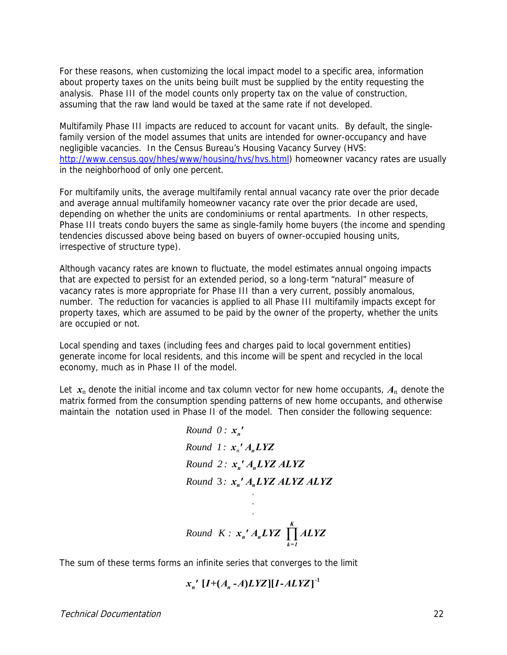For these reasons, when customizing the local impact model to a specific area, information about property taxes on the units being built must be supplied by the entity requesting the analysis. Phase III of the model counts only property tax on the value of construction, assuming that the raw land would be taxed at the same rate if not developed.

Multifamily Phase III impacts are reduced to account for vacant units. By default, the singlefamily version of the model assumes that units are intended for owner-occupancy and have negligible vacancies. In the Census Bureau's Housing Vacancy Survey (HVS: http://www.census.gov/hhes/www/housing/hvs/hvs.html) homeowner vacancy rates are usually in the neighborhood of only one percent.

For multifamily units, the average multifamily rental annual vacancy rate over the prior decade and average annual multifamily homeowner vacancy rate over the prior decade are used, depending on whether the units are condominiums or rental apartments. In other respects, Phase III treats condo buyers the same as single-family home buyers (the income and spending tendencies discussed above being based on buyers of owner-occupied housing units, irrespective of structure type).

Although vacancy rates are known to fluctuate, the model estimates annual ongoing impacts that are expected to persist for an extended period, so a long-term "natural" measure of vacancy rates is more appropriate for Phase III than a very current, possibly anomalous, number. The reduction for vacancies is applied to all Phase III multifamily impacts except for property taxes, which are assumed to be paid by the owner of the property, whether the units are occupied or not.

Local spending and taxes (including fees and charges paid to local government entities) generate income for local residents, and this income will be spent and recycled in the local economy, much as in Phase II of the model.

Let  $x_n$  denote the initial income and tax column vector for new home occupants,  $A_n$  denote the matrix formed from the consumption spending patterns of new home occupants, and otherwise maintain the notation used in Phase II of the model. Then consider the following sequence:

Round 0: 
$$
x_n'
$$
  
\nRound 1:  $x_n' A_n LYZ$   
\nRound 2:  $x_n' A_n LYZ ALYZ$   
\nRound 3:  $x_n' A_n LYZ ALYZ ALYZ$   
\nRound  $K: x_n' A_n LYZ \prod_{k=1}^K ALYZ$ 

The sum of these terms forms an infinite series that converges to the limit

$$
x_n'\left[I+(A_n-A)LYZ\right][I-ALYZ]^{-1}
$$

Technical Documentation 22